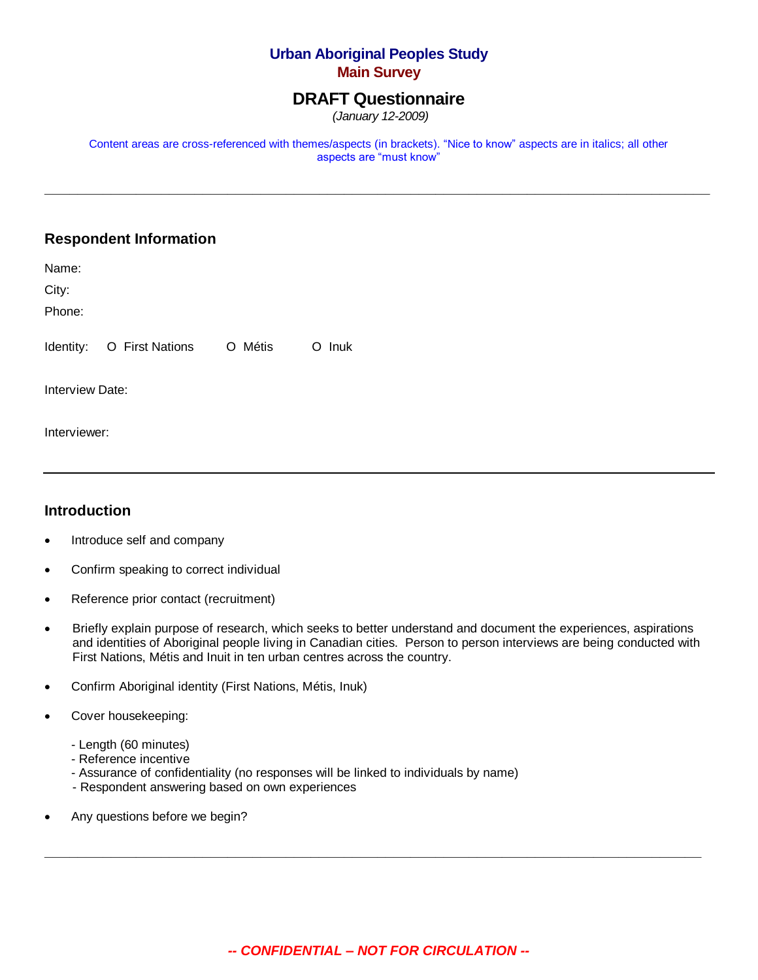# **Urban Aboriginal Peoples Study Main Survey**

# **DRAFT Questionnaire**

*(January 12-2009)*

Content areas are cross-referenced with themes/aspects (in brackets). "Nice to know" aspects are in italics; all other aspects are "must know"

**\_\_\_\_\_\_\_\_\_\_\_\_\_\_\_\_\_\_\_\_\_\_\_\_\_\_\_\_\_\_\_\_\_\_\_\_\_\_\_\_\_\_\_\_\_\_\_\_\_\_\_\_\_\_\_\_\_\_\_\_\_\_\_\_\_\_\_\_\_\_\_\_\_\_\_\_\_\_\_\_**

# **Respondent Information**

| Name:           |                                   |  |        |
|-----------------|-----------------------------------|--|--------|
| City:           |                                   |  |        |
| Phone:          |                                   |  |        |
|                 | Identity: O First Nations O Métis |  | O Inuk |
| Interview Date: |                                   |  |        |

## **Introduction**

Interviewer:

- Introduce self and company
- Confirm speaking to correct individual
- Reference prior contact (recruitment)
- Briefly explain purpose of research, which seeks to better understand and document the experiences, aspirations and identities of Aboriginal people living in Canadian cities. Person to person interviews are being conducted with First Nations, Métis and Inuit in ten urban centres across the country.
- Confirm Aboriginal identity (First Nations, Métis, Inuk)
- Cover housekeeping:
	- Length (60 minutes)
	- Reference incentive
	- Assurance of confidentiality (no responses will be linked to individuals by name)
	- Respondent answering based on own experiences
- Any questions before we begin?

*-- CONFIDENTIAL – NOT FOR CIRCULATION --*

**\_\_\_\_\_\_\_\_\_\_\_\_\_\_\_\_\_\_\_\_\_\_\_\_\_\_\_\_\_\_\_\_\_\_\_\_\_\_\_\_\_\_\_\_\_\_\_\_\_\_\_\_\_\_\_\_\_\_\_\_\_\_\_\_\_\_\_\_\_\_\_\_\_\_\_\_\_\_\_**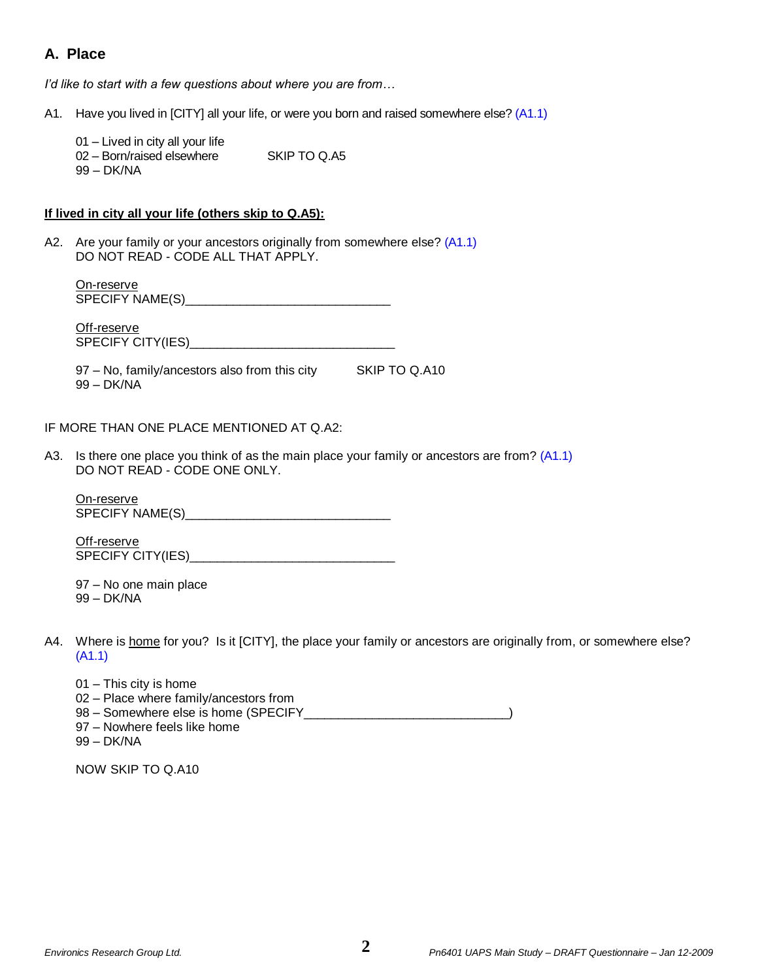# **A. Place**

*I'd like to start with a few questions about where you are from…*

A1. Have you lived in [CITY] all your life, or were you born and raised somewhere else? (A1.1)

- 01 Lived in city all your life 02 – Born/raised elsewhere SKIP TO Q.A5
- 99 DK/NA

## **If lived in city all your life (others skip to Q.A5):**

A2. Are your family or your ancestors originally from somewhere else? (A1.1) DO NOT READ - CODE ALL THAT APPLY.

On-reserve SPECIFY NAME(S)\_\_\_\_\_\_\_\_\_\_\_\_\_\_\_\_\_\_\_\_\_\_\_\_\_\_\_\_\_\_

Off-reserve SPECIFY CITY(IES)\_\_\_\_\_\_\_\_\_\_\_\_\_\_\_\_\_\_\_\_\_\_\_\_\_\_\_\_\_\_

97 – No, family/ancestors also from this city SKIP TO Q.A10 99 – DK/NA

### IF MORE THAN ONE PLACE MENTIONED AT Q.A2:

A3. Is there one place you think of as the main place your family or ancestors are from? (A1.1) DO NOT READ - CODE ONE ONLY.

On-reserve SPECIFY NAME(S)\_\_\_\_\_\_\_\_\_\_\_\_\_\_\_\_\_\_\_\_\_\_\_\_\_\_\_\_\_\_

Off-reserve SPECIFY CITY(IES)\_\_\_\_\_\_\_\_\_\_\_\_\_\_\_\_\_\_\_\_\_\_\_\_\_\_\_\_\_\_

97 – No one main place 99 – DK/NA

- A4. Where is home for you? Is it [CITY], the place your family or ancestors are originally from, or somewhere else? (A1.1)
	- 01 This city is home 02 – Place where family/ancestors from 98 – Somewhere else is home (SPECIFY \_\_\_\_\_\_\_\_\_\_\_\_\_\_\_\_\_\_\_\_\_\_\_\_\_\_\_\_\_\_\_\_) 97 – Nowhere feels like home 99 – DK/NA

NOW SKIP TO Q.A10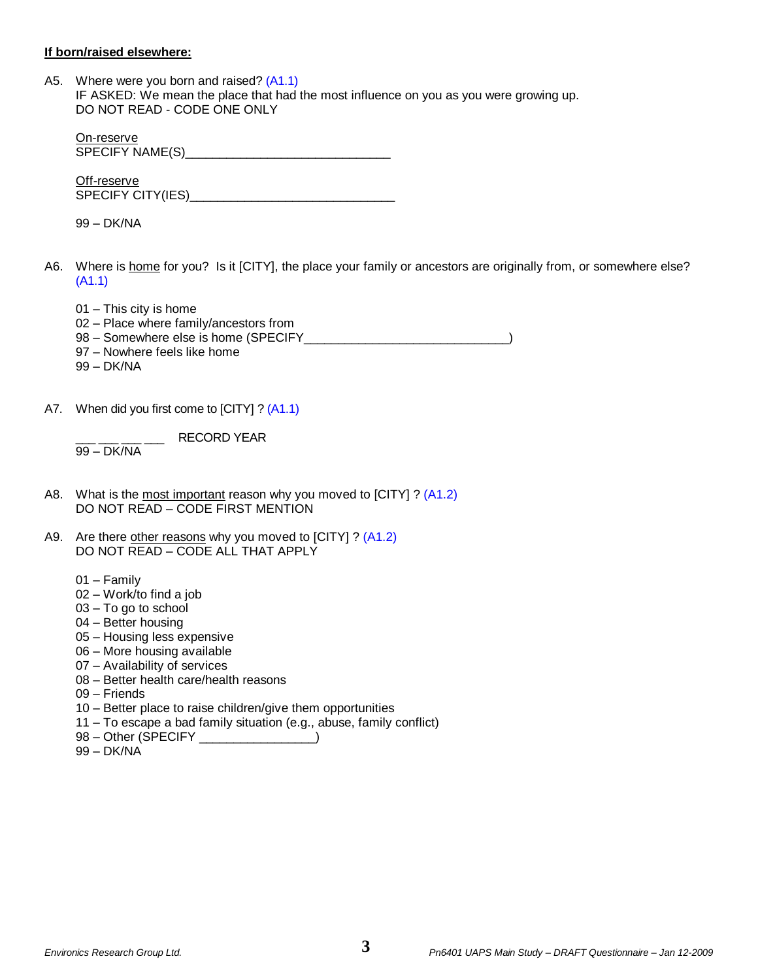#### **If born/raised elsewhere:**

A5. Where were you born and raised? (A1.1) IF ASKED: We mean the place that had the most influence on you as you were growing up. DO NOT READ - CODE ONE ONLY

On-reserve SPECIFY NAME(S)\_\_\_\_\_\_\_\_\_\_\_\_\_\_\_\_\_\_\_\_\_\_\_\_\_\_\_\_\_\_

Off-reserve SPECIFY CITY(IES)

99 – DK/NA

- A6. Where is home for you? Is it [CITY], the place your family or ancestors are originally from, or somewhere else? (A1.1)
	- 01 This city is home
	- 02 Place where family/ancestors from
	- 98 Somewhere else is home (SPECIFY \_\_\_\_\_\_\_\_\_\_\_\_\_\_\_\_\_\_\_\_\_\_\_\_\_\_\_\_\_\_\_\_\_)
	- 97 Nowhere feels like home
	- 99 DK/NA
- A7. When did you first come to [CITY] ? (A1.1)

RECORD YEAR 99 – DK/NA

- A8. What is the most important reason why you moved to [CITY] ? (A1.2) DO NOT READ – CODE FIRST MENTION
- A9. Are there other reasons why you moved to [CITY] ? (A1.2) DO NOT READ – CODE ALL THAT APPLY
	- 01 Family
	- 02 Work/to find a job
	- 03 To go to school
	- 04 Better housing
	- 05 Housing less expensive
	- 06 More housing available
	- 07 Availability of services
	- 08 Better health care/health reasons
	- 09 Friends
	- 10 Better place to raise children/give them opportunities
	- 11 To escape a bad family situation (e.g., abuse, family conflict)
	- 98 Other (SPECIFY \_\_\_\_\_\_\_\_\_\_\_\_\_\_)
	- 99 DK/NA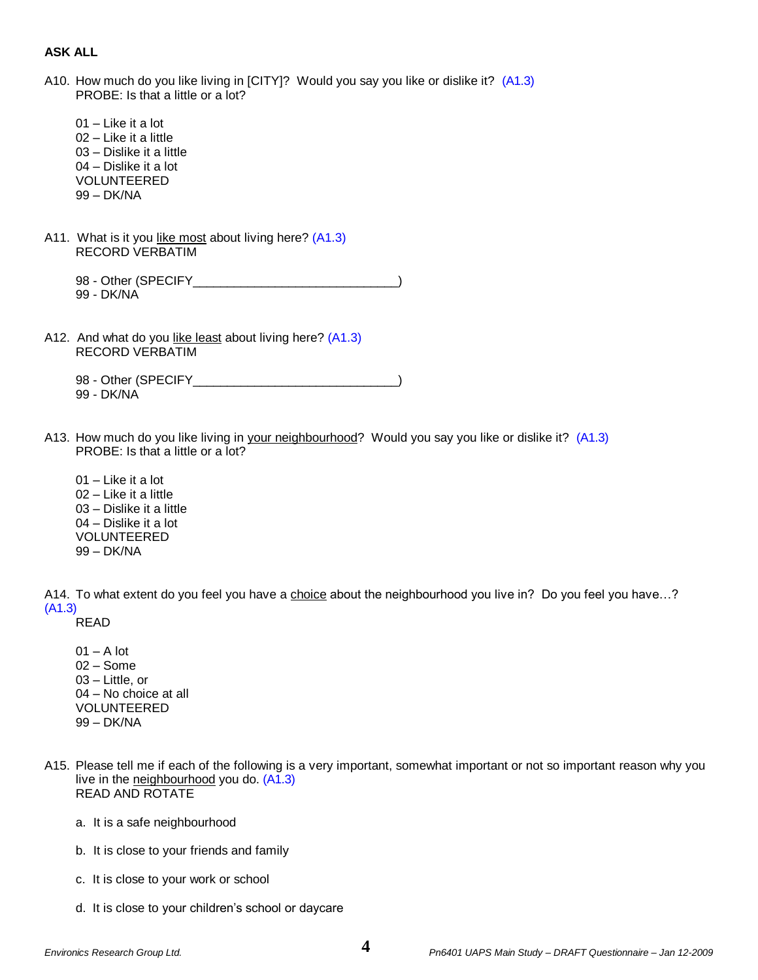### **ASK ALL**

A10. How much do you like living in [CITY]? Would you say you like or dislike it? (A1.3) PROBE: Is that a little or a lot?

- 01 Like it a lot 02 – Like it a little 03 – Dislike it a little 04 – Dislike it a lot VOLUNTEERED 99 – DK/NA
- A11. What is it you like most about living here? (A1.3) RECORD VERBATIM

98 - Other (SPECIFY ) 99 - DK/NA

A12. And what do you like least about living here? (A1.3) RECORD VERBATIM

98 - Other (SPECIFY\_\_\_\_\_\_\_\_\_\_\_\_\_\_\_\_\_\_\_\_\_\_\_\_\_\_\_\_\_\_) 99 - DK/NA

- A13. How much do you like living in your neighbourhood? Would you say you like or dislike it? (A1.3) PROBE: Is that a little or a lot?
	- 01 Like it a lot 02 – Like it a little 03 – Dislike it a little 04 – Dislike it a lot VOLUNTEERED 99 – DK/NA

A14. To what extent do you feel you have a choice about the neighbourhood you live in? Do you feel you have…? (A1.3)

READ

- $01 A$  lot 02 – Some 03 – Little, or 04 – No choice at all VOLUNTEERED 99 – DK/NA
- A15. Please tell me if each of the following is a very important, somewhat important or not so important reason why you live in the neighbourhood you do. (A1.3) READ AND ROTATE
	- a. It is a safe neighbourhood
	- b. It is close to your friends and family
	- c. It is close to your work or school
	- d. It is close to your children's school or daycare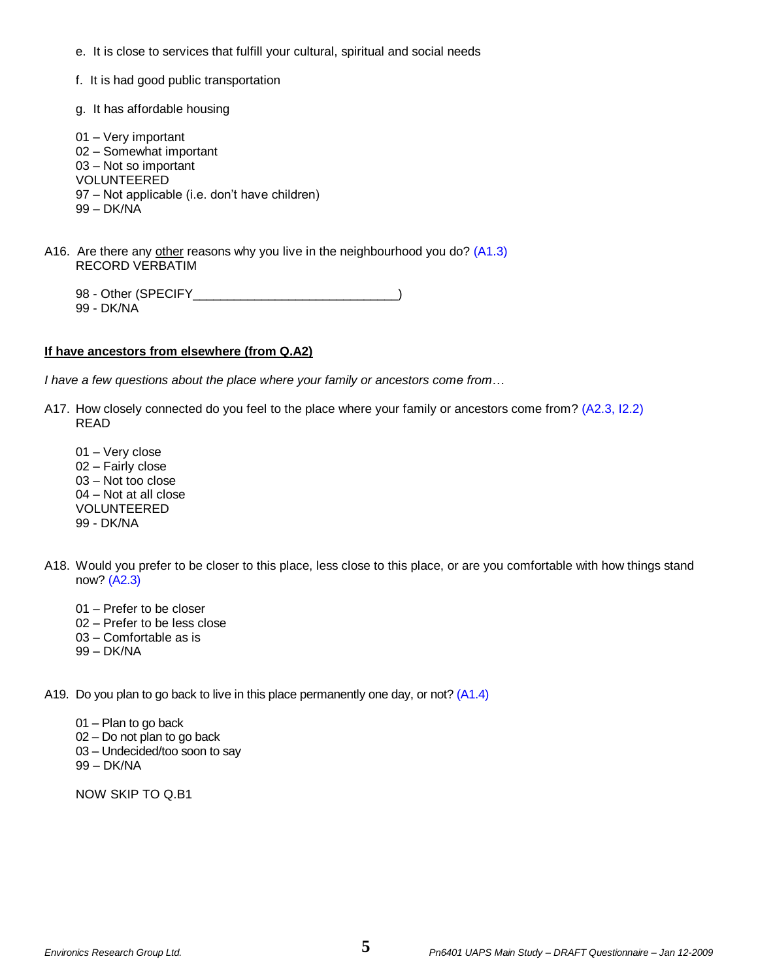- e. It is close to services that fulfill your cultural, spiritual and social needs
- f. It is had good public transportation
- g. It has affordable housing
- 01 Very important 02 – Somewhat important 03 – Not so important VOLUNTEERED 97 – Not applicable (i.e. don't have children) 99 – DK/NA
- A16. Are there any other reasons why you live in the neighbourhood you do? (A1.3) RECORD VERBATIM
	- 98 Other (SPECIFY\_\_\_\_\_\_\_\_\_\_\_\_\_\_\_\_\_\_\_\_\_\_\_\_\_\_\_\_\_\_) 99 - DK/NA

### **If have ancestors from elsewhere (from Q.A2)**

*I have a few questions about the place where your family or ancestors come from…*

- A17. How closely connected do you feel to the place where your family or ancestors come from? (A2.3, I2.2) READ
	- 01 Very close 02 – Fairly close 03 – Not too close 04 – Not at all close VOLUNTEERED 99 - DK/NA
- A18. Would you prefer to be closer to this place, less close to this place, or are you comfortable with how things stand now? (A2.3)
	- 01 Prefer to be closer
	- 02 Prefer to be less close
	- 03 Comfortable as is
	- 99 DK/NA

A19. Do you plan to go back to live in this place permanently one day, or not? (A1.4)

- 01 Plan to go back 02 – Do not plan to go back
- 03 Undecided/too soon to say
- 99 DK/NA

NOW SKIP TO Q.B1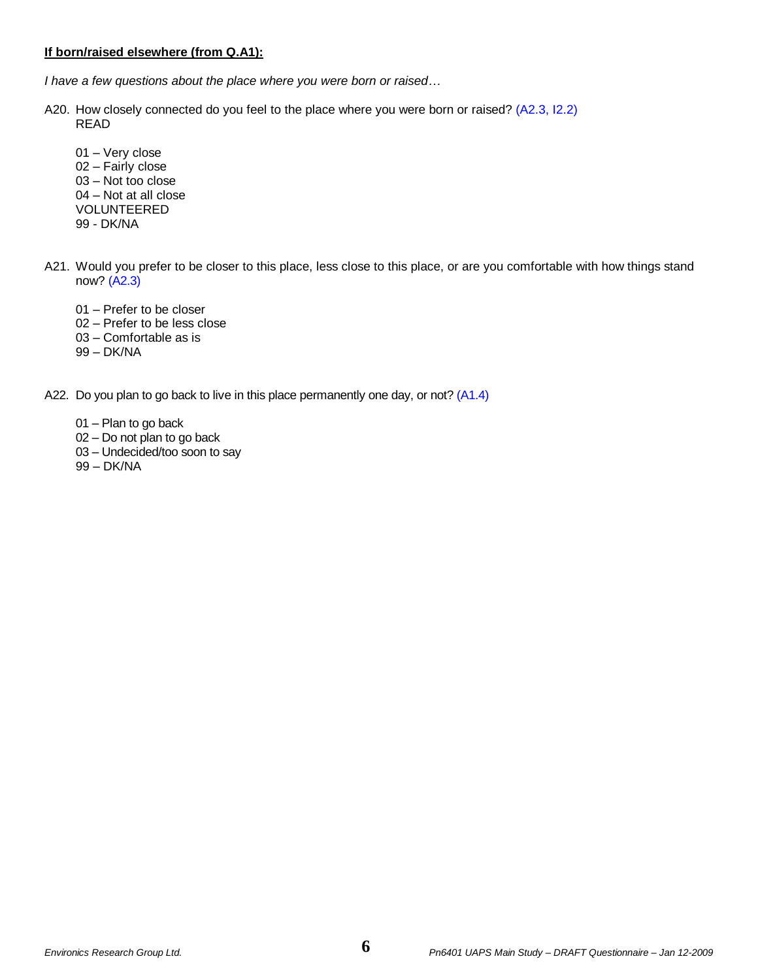### **If born/raised elsewhere (from Q.A1):**

*I have a few questions about the place where you were born or raised…*

- A20. How closely connected do you feel to the place where you were born or raised? (A2.3, I2.2) READ
	- 01 Very close 02 – Fairly close 03 – Not too close 04 – Not at all close VOLUNTEERED 99 - DK/NA
- A21. Would you prefer to be closer to this place, less close to this place, or are you comfortable with how things stand now? (A2.3)
	- 01 Prefer to be closer
	- 02 Prefer to be less close
	- 03 Comfortable as is
	- 99 DK/NA
- A22. Do you plan to go back to live in this place permanently one day, or not? (A1.4)
	- 01 Plan to go back
	- 02 Do not plan to go back
	- 03 Undecided/too soon to say
	- 99 DK/NA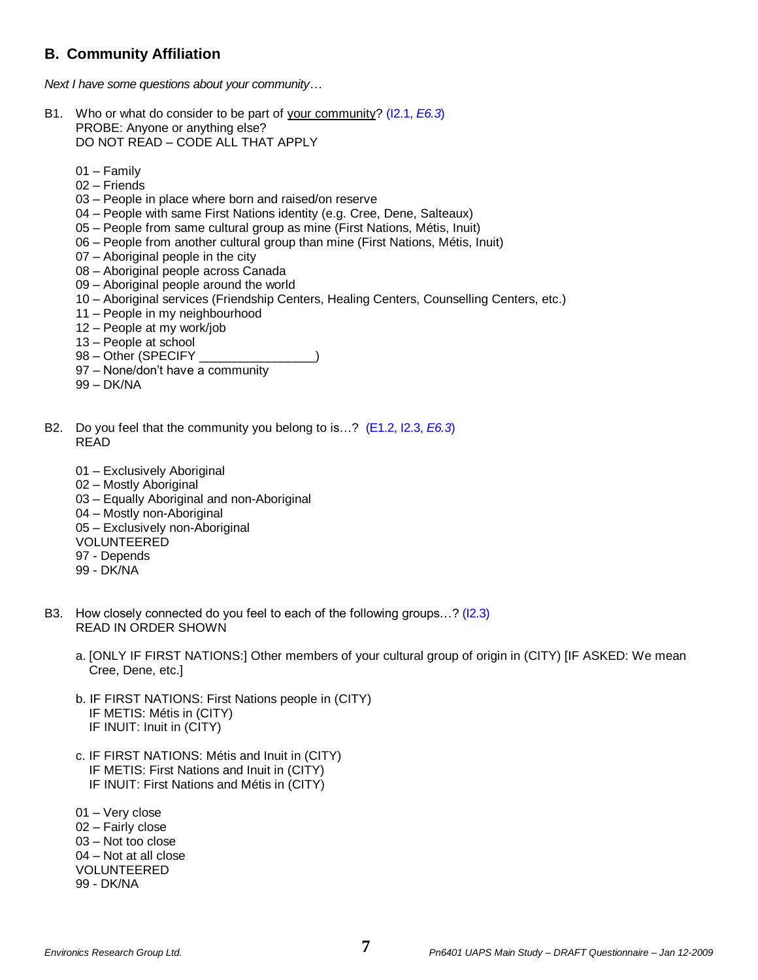# **B. Community Affiliation**

*Next I have some questions about your community…*

- B1. Who or what do consider to be part of your community? (I2.1, *E6.3*) PROBE: Anyone or anything else? DO NOT READ – CODE ALL THAT APPLY
	- 01 Family
	- 02 Friends
	- 03 People in place where born and raised/on reserve
	- 04 People with same First Nations identity (e.g. Cree, Dene, Salteaux)
	- 05 People from same cultural group as mine (First Nations, Métis, Inuit)
	- 06 People from another cultural group than mine (First Nations, Métis, Inuit)
	- 07 Aboriginal people in the city
	- 08 Aboriginal people across Canada
	- 09 Aboriginal people around the world
	- 10 Aboriginal services (Friendship Centers, Healing Centers, Counselling Centers, etc.)
	- 11 People in my neighbourhood
	- 12 People at my work/job
	- 13 People at school
	- 98 Other (SPECIFY
	- 97 None/don't have a community
	- 99 DK/NA
- B2. Do you feel that the community you belong to is…? (E1.2, I2.3, *E6.3*) READ
	- 01 Exclusively Aboriginal
	- 02 Mostly Aboriginal
	- 03 Equally Aboriginal and non-Aboriginal
	- 04 Mostly non-Aboriginal
	- 05 Exclusively non-Aboriginal
	- VOLUNTEERED
	- 97 Depends
	- 99 DK/NA
- B3. How closely connected do you feel to each of the following groups…? (I2.3) READ IN ORDER SHOWN
	- a. [ONLY IF FIRST NATIONS:] Other members of your cultural group of origin in (CITY) [IF ASKED: We mean Cree, Dene, etc.]
	- b. IF FIRST NATIONS: First Nations people in (CITY) IF METIS: Métis in (CITY) IF INUIT: Inuit in (CITY)
	- c. IF FIRST NATIONS: Métis and Inuit in (CITY) IF METIS: First Nations and Inuit in (CITY) IF INUIT: First Nations and Métis in (CITY)
	- 01 Very close
	- 02 Fairly close
	- 03 Not too close
	- 04 Not at all close VOLUNTEERED
	- 99 DK/NA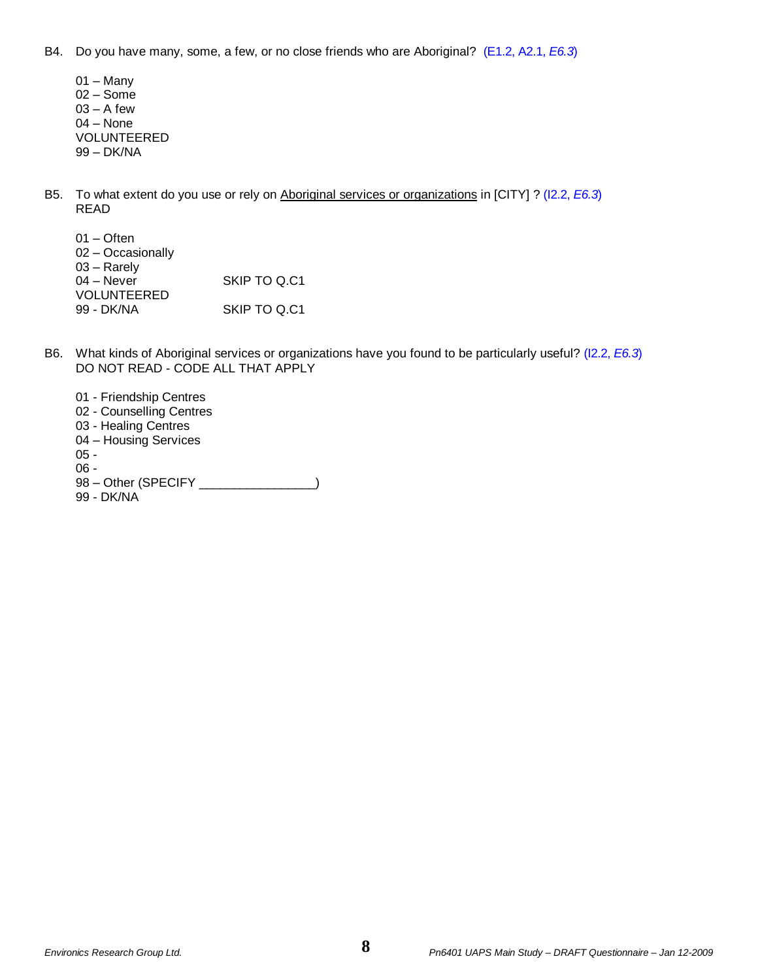B4. Do you have many, some, a few, or no close friends who are Aboriginal? (E1.2, A2.1, *E6.3*)

- 01 Many 02 – Some  $03 - A$  few 04 – None VOLUNTEERED 99 – DK/NA
- B5. To what extent do you use or rely on Aboriginal services or organizations in [CITY] ? (I2.2, *E6.3*) READ

| $01 -$ Often       |              |
|--------------------|--------------|
| 02 - Occasionally  |              |
| $03 -$ Rarely      |              |
| $04 -$ Never       | SKIP TO Q.C1 |
| <b>VOLUNTEERED</b> |              |
| 99 - DK/NA         | SKIP TO Q.C1 |

- B6. What kinds of Aboriginal services or organizations have you found to be particularly useful? (I2.2, *E6.3*) DO NOT READ - CODE ALL THAT APPLY
	- 01 Friendship Centres 02 - Counselling Centres
	-
	- 03 Healing Centres
	- 04 Housing Services

05 -

- 06 -
- 98 Other (SPECIFY \_\_\_\_\_\_\_\_\_\_\_\_\_\_\_)
- 99 DK/NA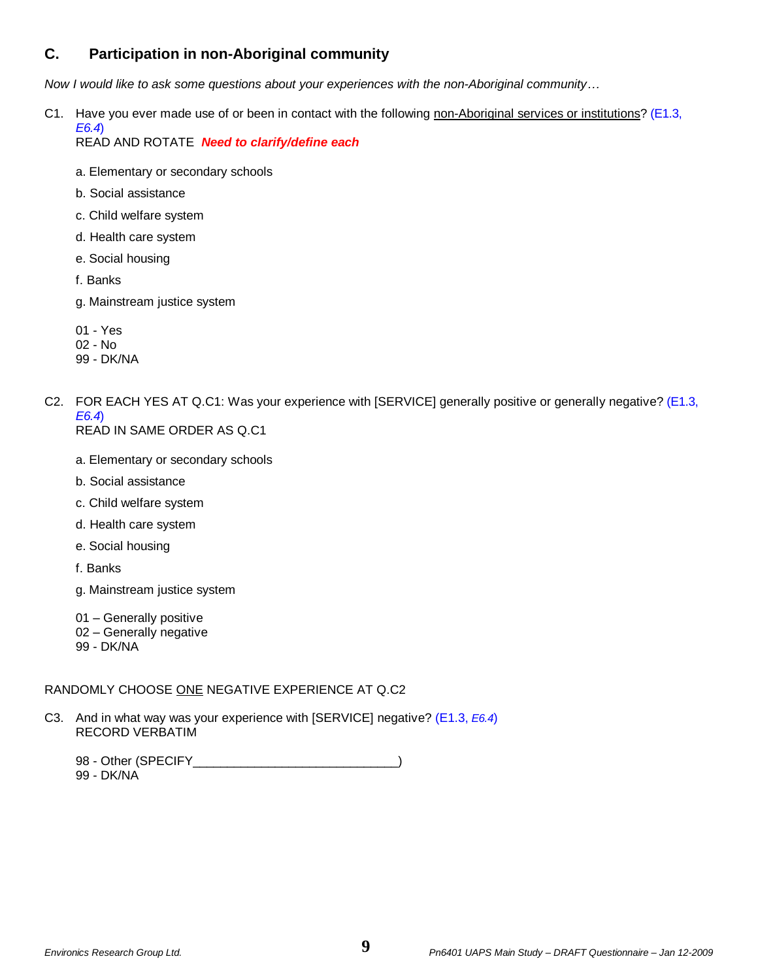# **C. Participation in non-Aboriginal community**

*Now I would like to ask some questions about your experiences with the non-Aboriginal community…*

C1. Have you ever made use of or been in contact with the following non-Aboriginal services or institutions?  $(E1.3, E1.3)$ *E6.4*)

READ AND ROTATE *Need to clarify/define each*

- a. Elementary or secondary schools
- b. Social assistance
- c. Child welfare system
- d. Health care system
- e. Social housing
- f. Banks
- g. Mainstream justice system
- 01 Yes
- 02 No
- 99 DK/NA
- C2. FOR EACH YES AT Q.C1: Was your experience with [SERVICE] generally positive or generally negative? (E1.3, *E6.4*) READ IN SAME ORDER AS Q.C1
	- a. Elementary or secondary schools
	- b. Social assistance
	- c. Child welfare system
	- d. Health care system
	- e. Social housing

f. Banks

- g. Mainstream justice system
- 01 Generally positive
- 02 Generally negative
- 99 DK/NA

## RANDOMLY CHOOSE ONE NEGATIVE EXPERIENCE AT Q.C2

C3. And in what way was your experience with [SERVICE] negative? (E1.3, *E6.4*) RECORD VERBATIM

98 - Other (SPECIFY\_\_\_\_\_\_\_\_\_\_\_\_\_\_\_\_\_\_\_\_\_\_\_\_\_\_\_\_\_\_\_\_\_) 99 - DK/NA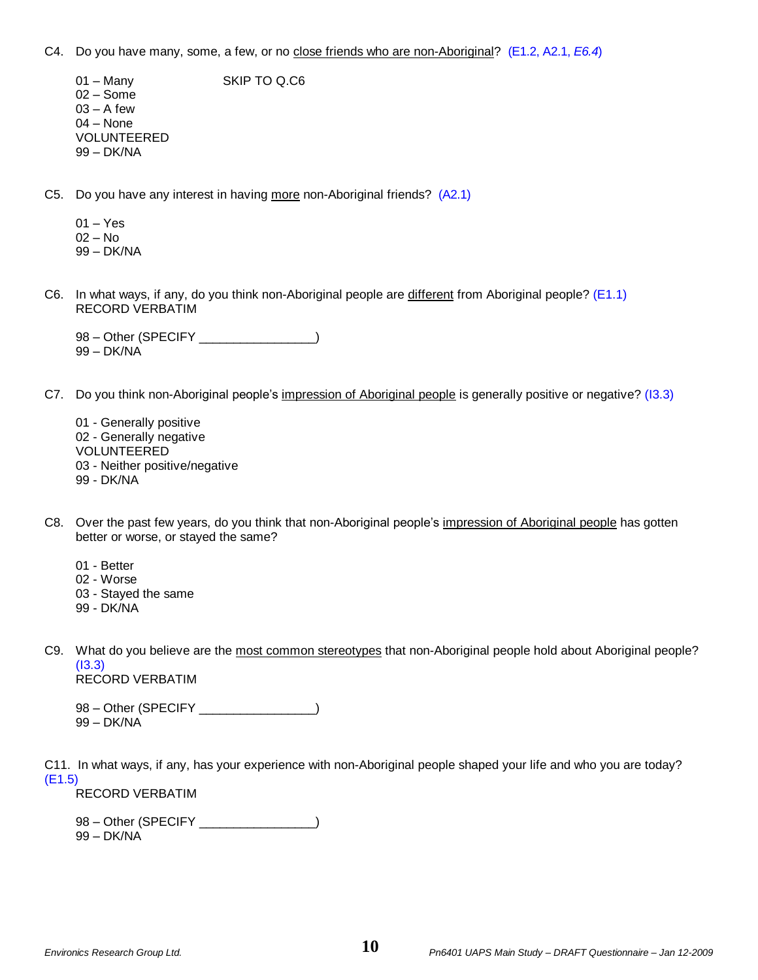C4. Do you have many, some, a few, or no close friends who are non-Aboriginal? (E1.2, A2.1, *E6.4*)

01 – Many SKIP TO Q.C6 02 – Some  $03 - A$  few 04 – None VOLUNTEERED 99 – DK/NA

C5. Do you have any interest in having more non-Aboriginal friends? (A2.1)

- 01 Yes 02 – No 99 – DK/NA
- C6. In what ways, if any, do you think non-Aboriginal people are different from Aboriginal people? (E1.1) RECORD VERBATIM

98 – Other (SPECIFY \_\_\_\_\_\_\_\_\_\_\_\_\_\_\_\_) 99 – DK/NA

- C7. Do you think non-Aboriginal people's impression of Aboriginal people is generally positive or negative? (I3.3)
	- 01 Generally positive 02 - Generally negative VOLUNTEERED 03 - Neither positive/negative 99 - DK/NA
- C8. Over the past few years, do you think that non-Aboriginal people's impression of Aboriginal people has gotten better or worse, or stayed the same?
	- 01 Better
	- 02 Worse
	- 03 Stayed the same
	- 99 DK/NA
- C9. What do you believe are the most common stereotypes that non-Aboriginal people hold about Aboriginal people? (I3.3) RECORD VERBATIM

98 – Other (SPECIFY \_\_\_\_\_\_\_\_\_\_\_\_\_\_\_\_) 99 – DK/NA

C11. In what ways, if any, has your experience with non-Aboriginal people shaped your life and who you are today? (E1.5) RECORD VERBATIM

98 – Other (SPECIFY \_\_\_\_\_\_\_\_\_\_\_\_\_\_\_\_\_\_\_) 99 – DK/NA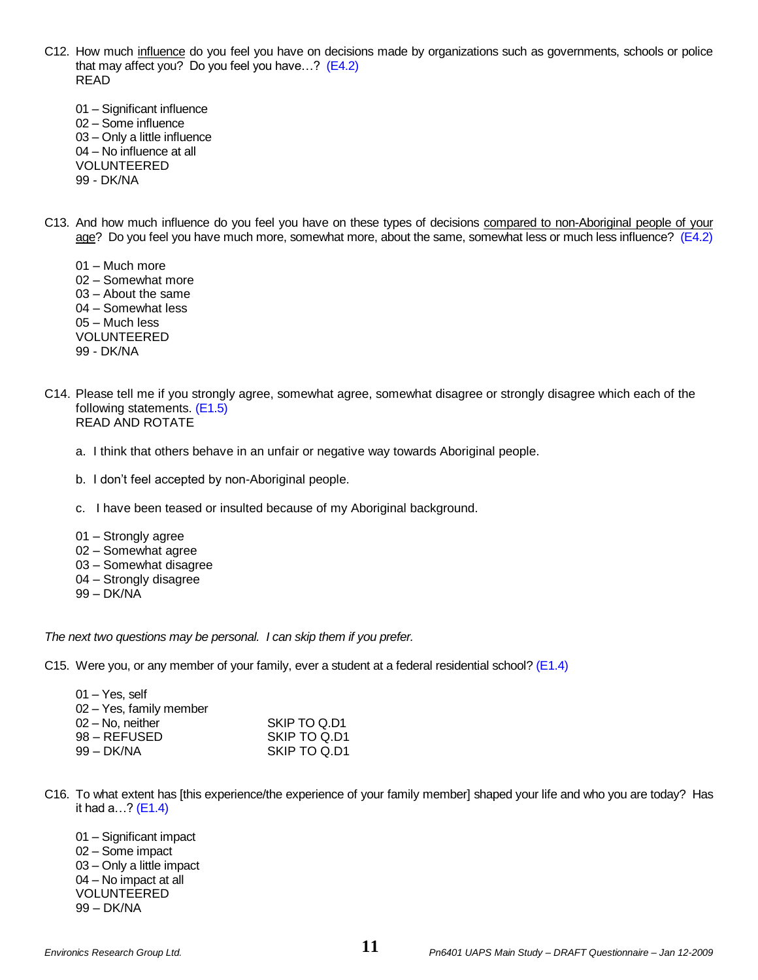- C12. How much influence do you feel you have on decisions made by organizations such as governments, schools or police that may affect you? Do you feel you have...?  $(E4.2)$ READ
	- 01 Significant influence 02 – Some influence 03 – Only a little influence 04 – No influence at all VOLUNTEERED 99 - DK/NA
- C13. And how much influence do you feel you have on these types of decisions compared to non-Aboriginal people of your age? Do you feel you have much more, somewhat more, about the same, somewhat less or much less influence? (E4.2)
	- 01 Much more 02 – Somewhat more 03 – About the same 04 – Somewhat less 05 – Much less VOLUNTEERED 99 - DK/NA
- C14. Please tell me if you strongly agree, somewhat agree, somewhat disagree or strongly disagree which each of the following statements. (E1.5) READ AND ROTATE
	- a. I think that others behave in an unfair or negative way towards Aboriginal people.
	- b. I don't feel accepted by non-Aboriginal people.
	- c. I have been teased or insulted because of my Aboriginal background.
	- 01 Strongly agree
	- 02 Somewhat agree
	- 03 Somewhat disagree
	- 04 Strongly disagree
	- 99 DK/NA

*The next two questions may be personal. I can skip them if you prefer.*

C15. Were you, or any member of your family, ever a student at a federal residential school? (E1.4)

| 01 – Yes. self          |              |
|-------------------------|--------------|
| 02 - Yes, family member |              |
| 02 – No. neither        | SKIP TO Q.D1 |
| 98 – REFUSED            | SKIP TO Q.D1 |
| 99 – DK/NA              | SKIP TO Q.D1 |
|                         |              |

C16. To what extent has [this experience/the experience of your family member] shaped your life and who you are today? Has it had  $a...?$  (E1.4)

01 – Significant impact 02 – Some impact 03 – Only a little impact 04 – No impact at all VOLUNTEERED 99 – DK/NA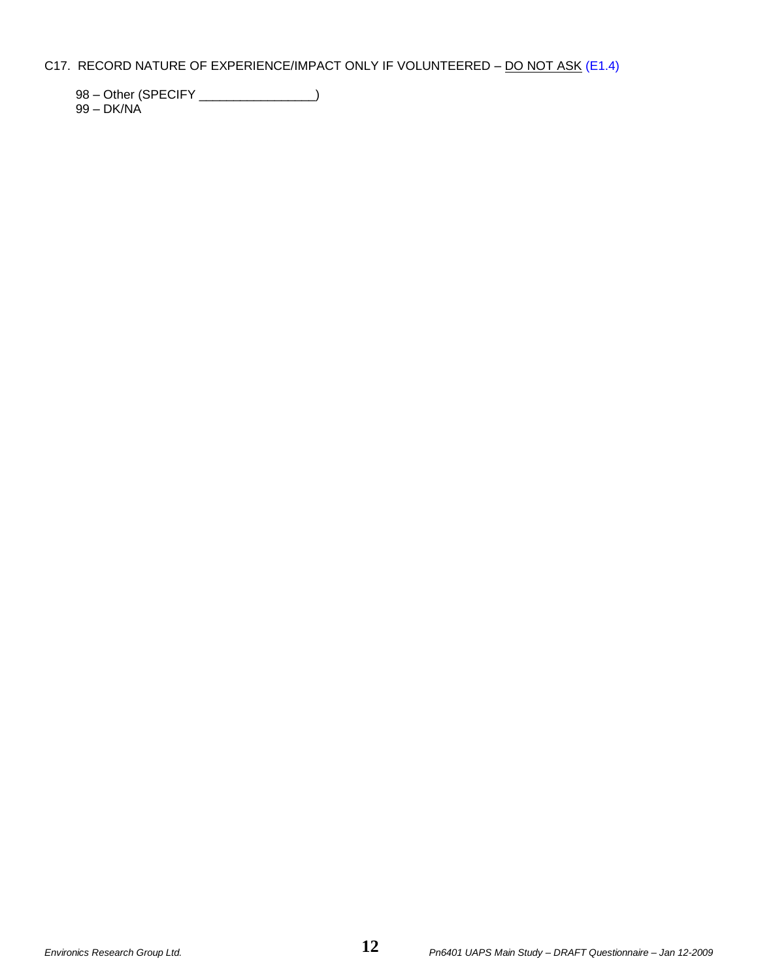## C17. RECORD NATURE OF EXPERIENCE/IMPACT ONLY IF VOLUNTEERED - DO NOT ASK (E1.4)

98 – Other (SPECIFY \_\_\_\_\_\_\_\_\_\_\_\_\_\_\_)

99 – DK/NA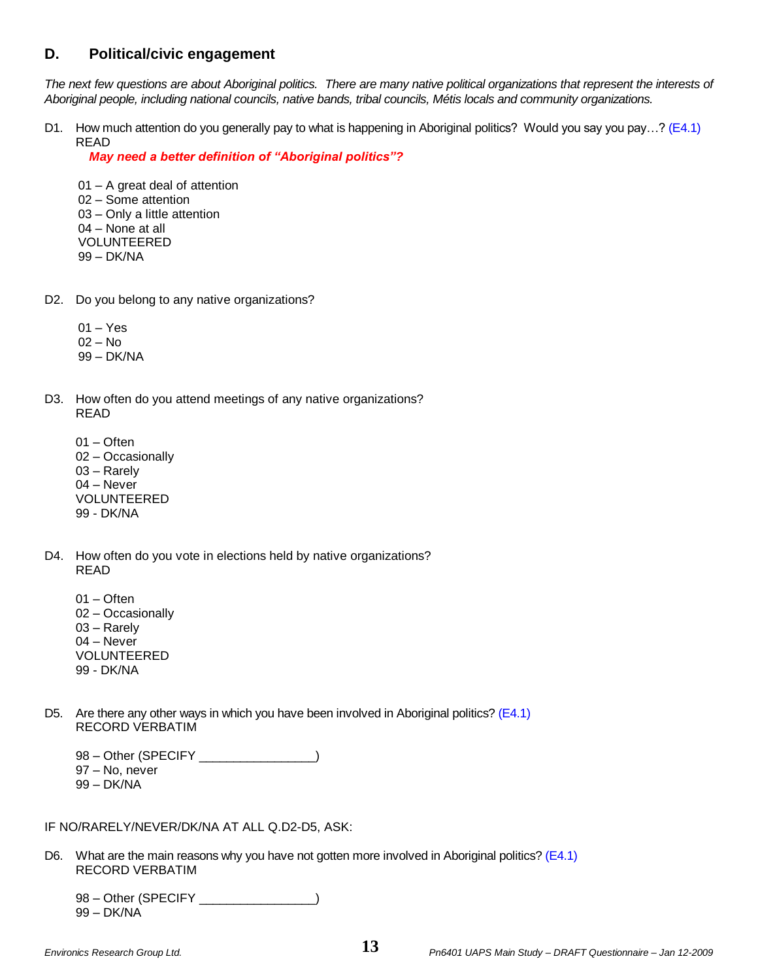# **D. Political/civic engagement**

*The next few questions are about Aboriginal politics. There are many native political organizations that represent the interests of Aboriginal people, including national councils, native bands, tribal councils, Métis locals and community organizations.*

D1. How much attention do you generally pay to what is happening in Aboriginal politics? Would you say you pay…? (E4.1) READ

*May need a better definition of "Aboriginal politics"?*

01 – A great deal of attention 02 – Some attention 03 – Only a little attention 04 – None at all VOLUNTEERED 99 – DK/NA

- D2. Do you belong to any native organizations?
	- 01 Yes
	- 02 No
	- 99 DK/NA
- D3. How often do you attend meetings of any native organizations? READ
	- 01 Often 02 – Occasionally 03 – Rarely 04 – Never VOLUNTEERED
	- 99 DK/NA
- D4. How often do you vote in elections held by native organizations? READ
	- 01 Often 02 – Occasionally 03 – Rarely 04 – Never VOLUNTEERED 99 - DK/NA
- D5. Are there any other ways in which you have been involved in Aboriginal politics? (E4.1) RECORD VERBATIM

98 – Other (SPECIFY \_\_\_\_\_\_\_\_\_\_\_\_\_\_\_\_) 97 – No, never 99 – DK/NA

IF NO/RARELY/NEVER/DK/NA AT ALL Q.D2-D5, ASK:

D6. What are the main reasons why you have not gotten more involved in Aboriginal politics? (E4.1) RECORD VERBATIM

98 – Other (SPECIFY \_\_\_\_\_\_\_\_\_\_\_\_\_\_\_\_) 99 – DK/NA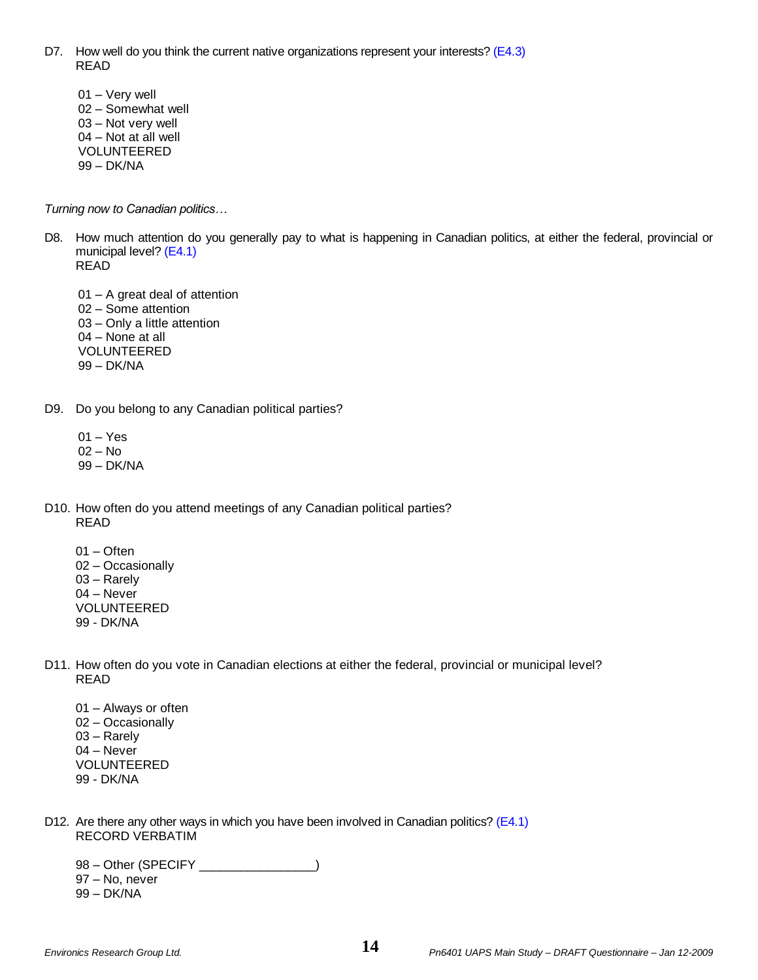- D7. How well do you think the current native organizations represent your interests? (E4.3) READ
	- 01 Very well 02 – Somewhat well 03 – Not very well 04 – Not at all well VOLUNTEERED 99 – DK/NA

*Turning now to Canadian politics…*

- D8. How much attention do you generally pay to what is happening in Canadian politics, at either the federal, provincial or municipal level? (E4.1) READ
	- 01 A great deal of attention 02 – Some attention 03 – Only a little attention 04 – None at all VOLUNTEERED 99 – DK/NA
- D9. Do you belong to any Canadian political parties?
	- 01 Yes 02 – No
	- 99 DK/NA
- D10. How often do you attend meetings of any Canadian political parties? READ
	- 01 Often 02 – Occasionally 03 – Rarely 04 – Never VOLUNTEERED 99 - DK/NA
- D11. How often do you vote in Canadian elections at either the federal, provincial or municipal level? READ
	- 01 Always or often 02 – Occasionally 03 – Rarely 04 – Never VOLUNTEERED 99 - DK/NA
- D12. Are there any other ways in which you have been involved in Canadian politics? (E4.1) RECORD VERBATIM

98 – Other (SPECIFY \_\_\_\_\_\_\_\_\_\_\_\_\_\_\_\_) 97 – No, never

99 – DK/NA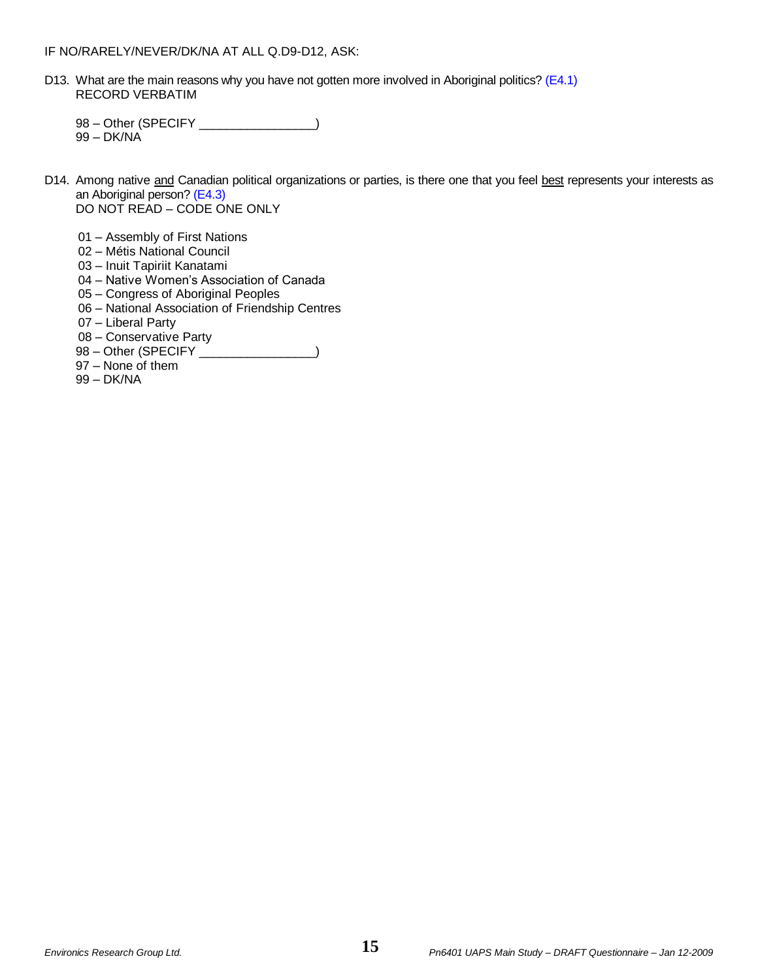D13. What are the main reasons why you have not gotten more involved in Aboriginal politics? (E4.1) RECORD VERBATIM

98 – Other (SPECIFY \_\_\_\_\_\_\_\_\_\_\_\_\_\_) 99 – DK/NA

- D14. Among native and Canadian political organizations or parties, is there one that you feel best represents your interests as an Aboriginal person? (E4.3) DO NOT READ – CODE ONE ONLY
	- 01 Assembly of First Nations
	- 02 Métis National Council
	- 03 Inuit Tapiriit Kanatami
	- 04 Native Women's Association of Canada
	- 05 Congress of Aboriginal Peoples
	- 06 National Association of Friendship Centres
	- 07 Liberal Party
	- 08 Conservative Party
	- 98 Other (SPECIFY \_\_\_\_\_\_\_\_\_\_\_\_\_\_)
	- 97 None of them
	- 99 DK/NA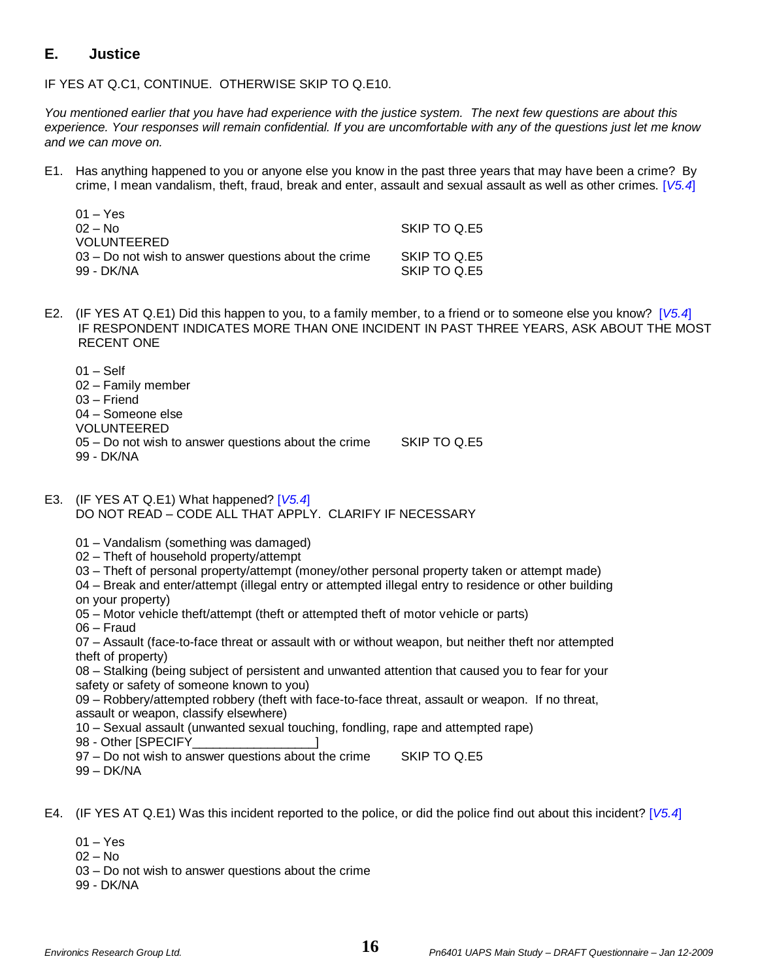# **E. Justice**

IF YES AT Q.C1, CONTINUE. OTHERWISE SKIP TO Q.E10.

*You mentioned earlier that you have had experience with the justice system. The next few questions are about this experience. Your responses will remain confidential. If you are uncomfortable with any of the questions just let me know and we can move on.*

E1. Has anything happened to you or anyone else you know in the past three years that may have been a crime? By crime, I mean vandalism, theft, fraud, break and enter, assault and sexual assault as well as other crimes. [*V5.4*]

| $01 - Yes$                                             |              |
|--------------------------------------------------------|--------------|
| $02 - No$                                              | SKIP TO Q.E5 |
| <b>VOLUNTEERED</b>                                     |              |
| $03 - Do$ not wish to answer questions about the crime | SKIP TO Q.E5 |
| 99 - DK/NA                                             | SKIP TO Q.E5 |

E2. (IF YES AT Q.E1) Did this happen to you, to a family member, to a friend or to someone else you know? [*V5.4*] IF RESPONDENT INDICATES MORE THAN ONE INCIDENT IN PAST THREE YEARS, ASK ABOUT THE MOST RECENT ONE

01 – Self 02 – Family member 03 – Friend 04 – Someone else VOLUNTEERED 05 – Do not wish to answer questions about the crime SKIP TO Q.E5 99 - DK/NA

E3. (IF YES AT Q.E1) What happened? [*V5.4*] DO NOT READ – CODE ALL THAT APPLY. CLARIFY IF NECESSARY

01 – Vandalism (something was damaged)

- 02 Theft of household property/attempt
- 03 Theft of personal property/attempt (money/other personal property taken or attempt made)
- 04 Break and enter/attempt (illegal entry or attempted illegal entry to residence or other building on your property)
- 05 Motor vehicle theft/attempt (theft or attempted theft of motor vehicle or parts)
- 06 Fraud

07 – Assault (face-to-face threat or assault with or without weapon, but neither theft nor attempted theft of property)

08 – Stalking (being subject of persistent and unwanted attention that caused you to fear for your safety or safety of someone known to you)

09 – Robbery/attempted robbery (theft with face-to-face threat, assault or weapon. If no threat, assault or weapon, classify elsewhere)

10 – Sexual assault (unwanted sexual touching, fondling, rape and attempted rape)

98 - Other [SPECIFY\_\_\_\_\_\_\_\_\_\_\_\_\_\_\_\_\_\_]

97 – Do not wish to answer questions about the crime SKIP TO Q.E5 99 – DK/NA

E4. (IF YES AT Q.E1) Was this incident reported to the police, or did the police find out about this incident? [*V5.4*]

- 01 Yes
- 02 No
- 03 Do not wish to answer questions about the crime
- 99 DK/NA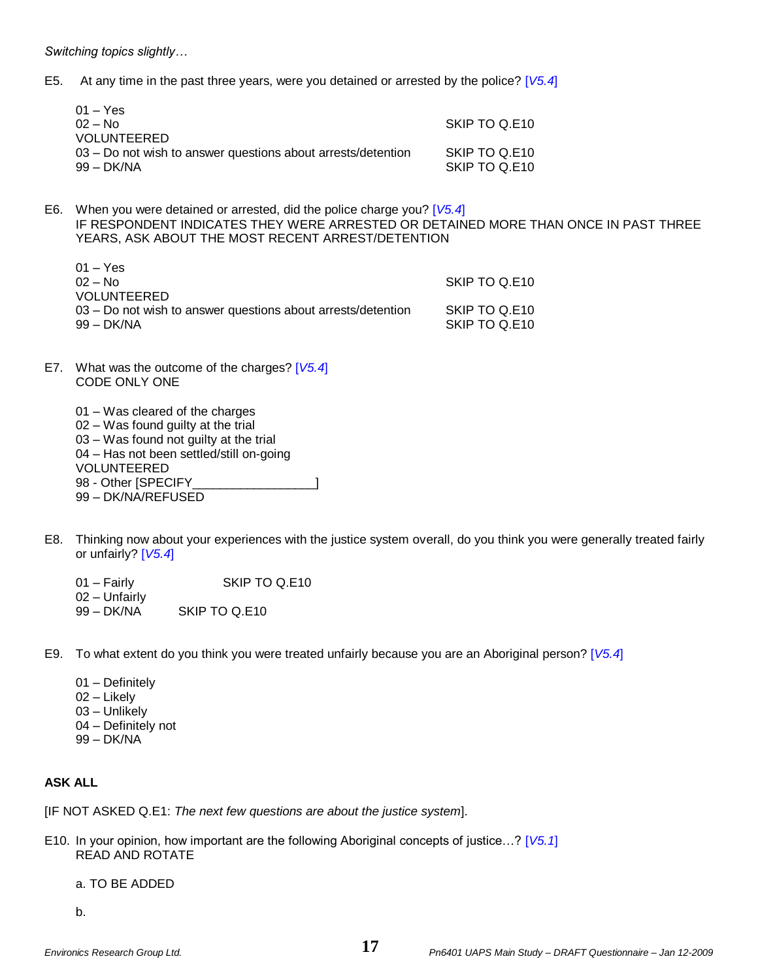*Switching topics slightly…*

E5. At any time in the past three years, were you detained or arrested by the police? [*V5.4*]

| 01 – Yes                                                      |               |
|---------------------------------------------------------------|---------------|
| 02 – No                                                       | SKIP TO Q.E10 |
| VOLUNTEERED                                                   |               |
| 03 – Do not wish to answer questions about arrests/detention_ | SKIP TO Q.E10 |
| 99 – DK/NA                                                    | SKIP TO Q.E10 |

E6. When you were detained or arrested, did the police charge you? [*V5.4*] IF RESPONDENT INDICATES THEY WERE ARRESTED OR DETAINED MORE THAN ONCE IN PAST THREE YEARS, ASK ABOUT THE MOST RECENT ARREST/DETENTION

| $01 - Yes$<br>$02 - N_0$                                                     | SKIP TO Q.E10                  |
|------------------------------------------------------------------------------|--------------------------------|
| <b>VOLUNTEERED</b>                                                           |                                |
| 03 – Do not wish to answer questions about arrests/detention<br>$99 - DK/NA$ | SKIP TO Q.E10<br>SKIP TO Q.E10 |

- E7. What was the outcome of the charges? [*V5.4*] CODE ONLY ONE
	- 01 Was cleared of the charges 02 – Was found guilty at the trial 03 – Was found not guilty at the trial 04 – Has not been settled/still on-going VOLUNTEERED 98 - Other [SPECIFY\_\_\_\_\_\_\_\_\_\_\_\_\_\_\_\_\_\_] 99 – DK/NA/REFUSED
- E8. Thinking now about your experiences with the justice system overall, do you think you were generally treated fairly or unfairly? [*V5.4*]
	- 01 Fairly **SKIP TO Q.E10**
	- 02 Unfairly
	- 99 DK/NA SKIP TO Q.E10
- E9. To what extent do you think you were treated unfairly because you are an Aboriginal person? [*V5.4*]
	- 01 Definitely
	- 02 Likely
	- 03 Unlikely
	- 04 Definitely not
	- 99 DK/NA

## **ASK ALL**

[IF NOT ASKED Q.E1: *The next few questions are about the justice system*].

E10. In your opinion, how important are the following Aboriginal concepts of justice…? [*V5.1*] READ AND ROTATE

a. TO BE ADDED

b.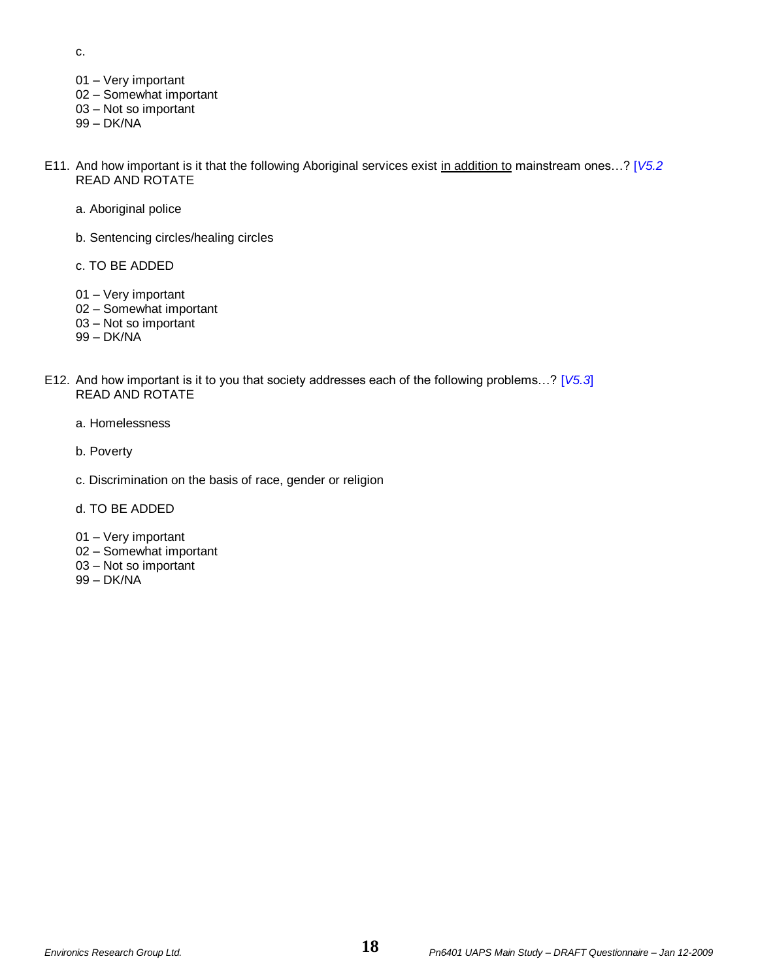c.

- 01 Very important
- 02 Somewhat important
- 03 Not so important
- 99 DK/NA
- E11. And how important is it that the following Aboriginal services exist in addition to mainstream ones…? [*V5.2* READ AND ROTATE
	- a. Aboriginal police
	- b. Sentencing circles/healing circles
	- c. TO BE ADDED
	- 01 Very important
	- 02 Somewhat important
	- 03 Not so important
	- 99 DK/NA
- E12. And how important is it to you that society addresses each of the following problems…? [*V5.3*] READ AND ROTATE
	- a. Homelessness
	- b. Poverty
	- c. Discrimination on the basis of race, gender or religion
	- d. TO BE ADDED
	- 01 Very important
	- 02 Somewhat important
	- 03 Not so important
	- 99 DK/NA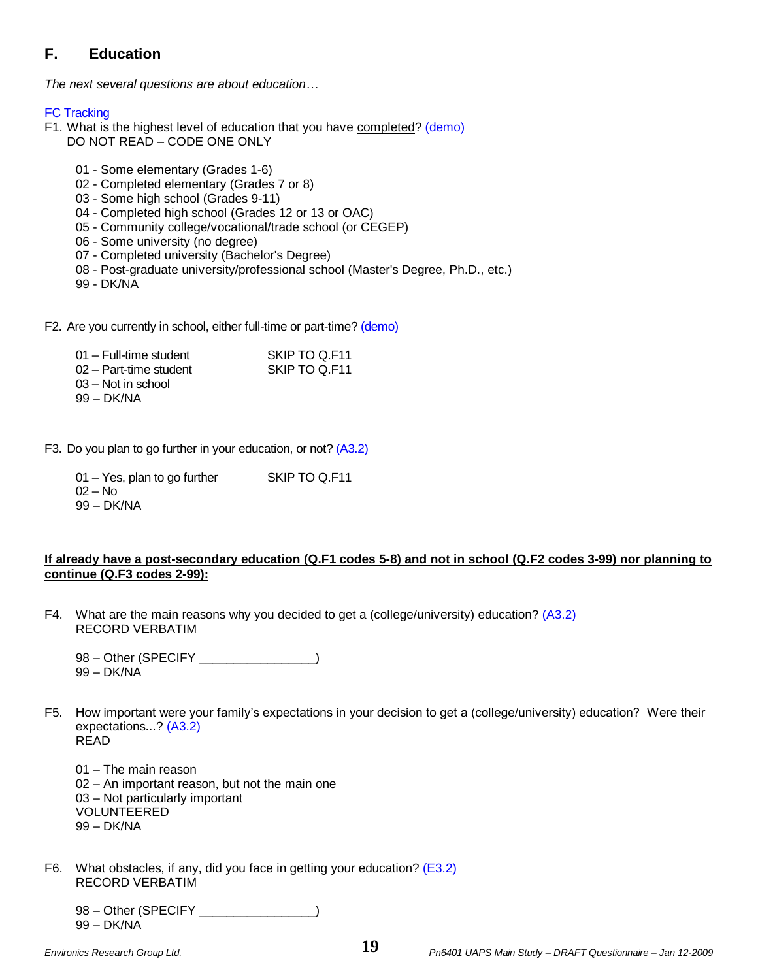# **F. Education**

*The next several questions are about education…*

## FC Tracking

- F1. What is the highest level of education that you have completed? (demo) DO NOT READ – CODE ONE ONLY
	- 01 Some elementary (Grades 1-6)
	- 02 Completed elementary (Grades 7 or 8)
	- 03 Some high school (Grades 9-11)
	- 04 Completed high school (Grades 12 or 13 or OAC)
	- 05 Community college/vocational/trade school (or CEGEP)
	- 06 Some university (no degree)
	- 07 Completed university (Bachelor's Degree)
	- 08 Post-graduate university/professional school (Master's Degree, Ph.D., etc.)
	- 99 DK/NA
- F2. Are you currently in school, either full-time or part-time? (demo)

| 01 – Full-time student | SKIP TO Q.F11 |
|------------------------|---------------|
| 02 – Part-time student | SKIP TO Q.F11 |
| 03 – Not in school     |               |
| 99 – DK/NA             |               |

- F3. Do you plan to go further in your education, or not? (A3.2)
	- 01 Yes, plan to go further SKIP TO Q.F11 02 – No 99 – DK/NA

## **If already have a post-secondary education (Q.F1 codes 5-8) and not in school (Q.F2 codes 3-99) nor planning to continue (Q.F3 codes 2-99):**

- F4. What are the main reasons why you decided to get a (college/university) education? (A3.2) RECORD VERBATIM
	- 98 Other (SPECIFY \_\_\_\_\_\_\_\_\_\_\_\_\_\_\_\_) 99 – DK/NA
- F5. How important were your family's expectations in your decision to get a (college/university) education? Were their expectations...? (A3.2) READ
	- 01 The main reason 02 – An important reason, but not the main one 03 – Not particularly important VOLUNTEERED 99 – DK/NA
- F6. What obstacles, if any, did you face in getting your education? (E3.2) RECORD VERBATIM

98 – Other (SPECIFY \_\_\_\_\_\_\_\_\_\_\_\_\_\_\_\_\_) 99 – DK/NA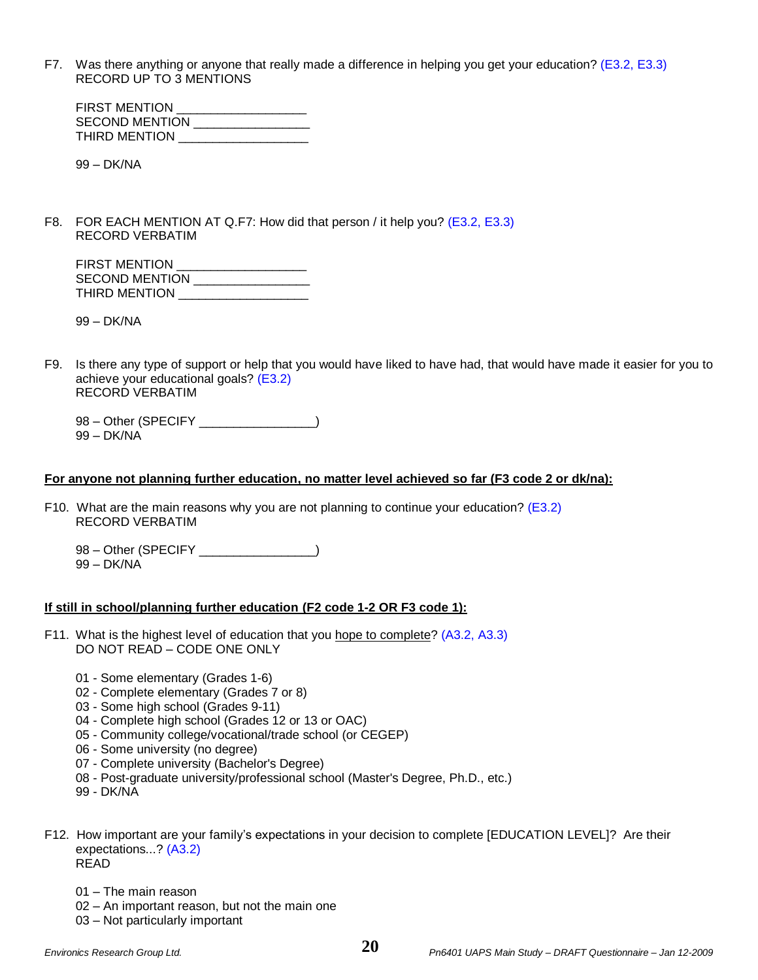F7. Was there anything or anyone that really made a difference in helping you get your education? (E3.2, E3.3) RECORD UP TO 3 MENTIONS

| FIRST MENTION  |  |
|----------------|--|
| SECOND MENTION |  |
| THIRD MENTION  |  |

99 – DK/NA

F8. FOR EACH MENTION AT Q.F7: How did that person / it help you? (E3.2, E3.3) RECORD VERBATIM

| <b>FIRST MENTION</b>  |  |
|-----------------------|--|
| <b>SECOND MENTION</b> |  |
| <b>THIRD MENTION</b>  |  |

99 – DK/NA

F9. Is there any type of support or help that you would have liked to have had, that would have made it easier for you to achieve your educational goals? (E3.2) RECORD VERBATIM

98 – Other (SPECIFY \_\_\_\_\_\_\_\_\_\_\_\_\_\_\_\_\_) 99 – DK/NA

#### **For anyone not planning further education, no matter level achieved so far (F3 code 2 or dk/na):**

- F10. What are the main reasons why you are not planning to continue your education?  $(E3.2)$ RECORD VERBATIM
	- 98 Other (SPECIFY \_\_\_\_\_\_\_\_\_\_\_\_\_\_\_\_\_)
	- 99 DK/NA

#### **If still in school/planning further education (F2 code 1-2 OR F3 code 1):**

- F11. What is the highest level of education that you hope to complete? (A3.2, A3.3) DO NOT READ – CODE ONE ONLY
	- 01 Some elementary (Grades 1-6)
	- 02 Complete elementary (Grades 7 or 8)
	- 03 Some high school (Grades 9-11)
	- 04 Complete high school (Grades 12 or 13 or OAC)
	- 05 Community college/vocational/trade school (or CEGEP)
	- 06 Some university (no degree)
	- 07 Complete university (Bachelor's Degree)
	- 08 Post-graduate university/professional school (Master's Degree, Ph.D., etc.)
	- 99 DK/NA
- F12. How important are your family's expectations in your decision to complete [EDUCATION LEVEL]? Are their expectations...? (A3.2) READ
	- 01 The main reason
	- 02 An important reason, but not the main one
	- 03 Not particularly important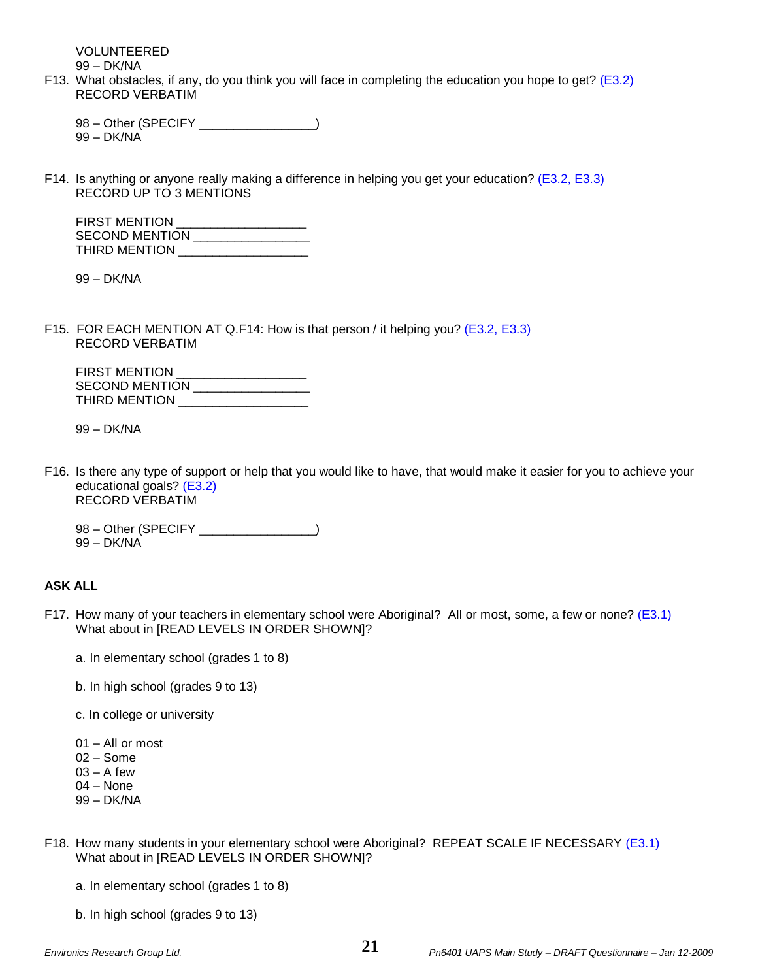VOLUNTEERED

99 – DK/NA

F13. What obstacles, if any, do you think you will face in completing the education you hope to get? (E3.2) RECORD VERBATIM

98 – Other (SPECIFY \_\_\_\_\_\_\_\_\_\_\_\_\_\_) 99 – DK/NA

F14. Is anything or anyone really making a difference in helping you get your education? (E3.2, E3.3) RECORD UP TO 3 MENTIONS

| <b>FIRST MENTION</b>  |  |
|-----------------------|--|
| <b>SECOND MENTION</b> |  |
| THIRD MENTION         |  |

99 – DK/NA

F15. FOR EACH MENTION AT Q.F14: How is that person / it helping you? (E3.2, E3.3) RECORD VERBATIM

| <b>FIRST MENTION</b>  |  |
|-----------------------|--|
| <b>SECOND MENTION</b> |  |
| THIRD MENTION         |  |

99 – DK/NA

- F16. Is there any type of support or help that you would like to have, that would make it easier for you to achieve your educational goals? (E3.2) RECORD VERBATIM
	- 98 Other (SPECIFY \_\_\_\_\_\_\_\_\_\_\_\_\_\_\_\_) 99 – DK/NA

### **ASK ALL**

- F17. How many of your teachers in elementary school were Aboriginal? All or most, some, a few or none? (E3.1) What about in [READ LEVELS IN ORDER SHOWN]?
	- a. In elementary school (grades 1 to 8)
	- b. In high school (grades 9 to 13)
	- c. In college or university
	- 01 All or most
	- 02 Some
	- $03 A$  few
	- 04 None
	- 99 DK/NA
- F18. How many students in your elementary school were Aboriginal? REPEAT SCALE IF NECESSARY (E3.1) What about in [READ LEVELS IN ORDER SHOWN]?
	- a. In elementary school (grades 1 to 8)
	- b. In high school (grades 9 to 13)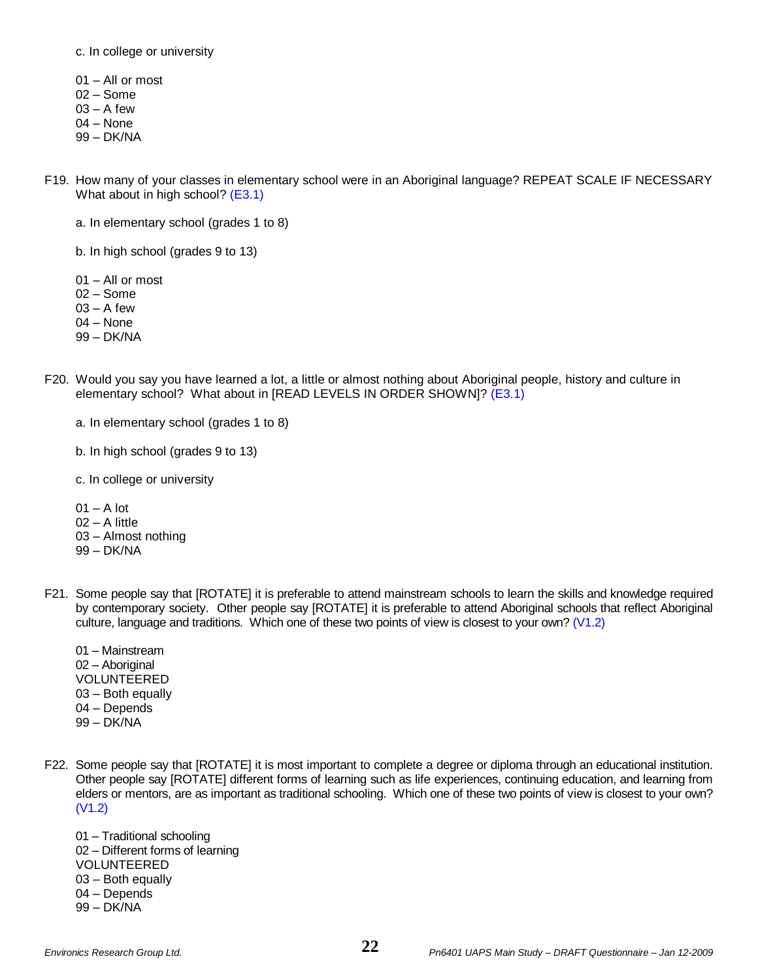c. In college or university

- 01 All or most
- 02 Some
- $03 A$  few
- 04 None
- 99 DK/NA
- F19. How many of your classes in elementary school were in an Aboriginal language? REPEAT SCALE IF NECESSARY What about in high school? (E3.1)
	- a. In elementary school (grades 1 to 8)

b. In high school (grades 9 to 13)

- 01 All or most
- 02 Some
- $03 A$  few
- 04 None
- 99 DK/NA
- F20. Would you say you have learned a lot, a little or almost nothing about Aboriginal people, history and culture in elementary school? What about in [READ LEVELS IN ORDER SHOWN]? (E3.1)
	- a. In elementary school (grades 1 to 8)
	- b. In high school (grades 9 to 13)
	- c. In college or university
	- $01 A$  lot 02 – A little 03 – Almost nothing 99 – DK/NA
- F21. Some people say that [ROTATE] it is preferable to attend mainstream schools to learn the skills and knowledge required by contemporary society. Other people say [ROTATE] it is preferable to attend Aboriginal schools that reflect Aboriginal culture, language and traditions. Which one of these two points of view is closest to your own? (V1.2)
	- 01 Mainstream 02 – Aboriginal VOLUNTEERED 03 – Both equally 04 – Depends 99 – DK/NA
- F22. Some people say that [ROTATE] it is most important to complete a degree or diploma through an educational institution. Other people say [ROTATE] different forms of learning such as life experiences, continuing education, and learning from elders or mentors, are as important as traditional schooling. Which one of these two points of view is closest to your own? (V1.2)
	- 01 Traditional schooling 02 – Different forms of learning VOLUNTEERED 03 – Both equally 04 – Depends 99 – DK/NA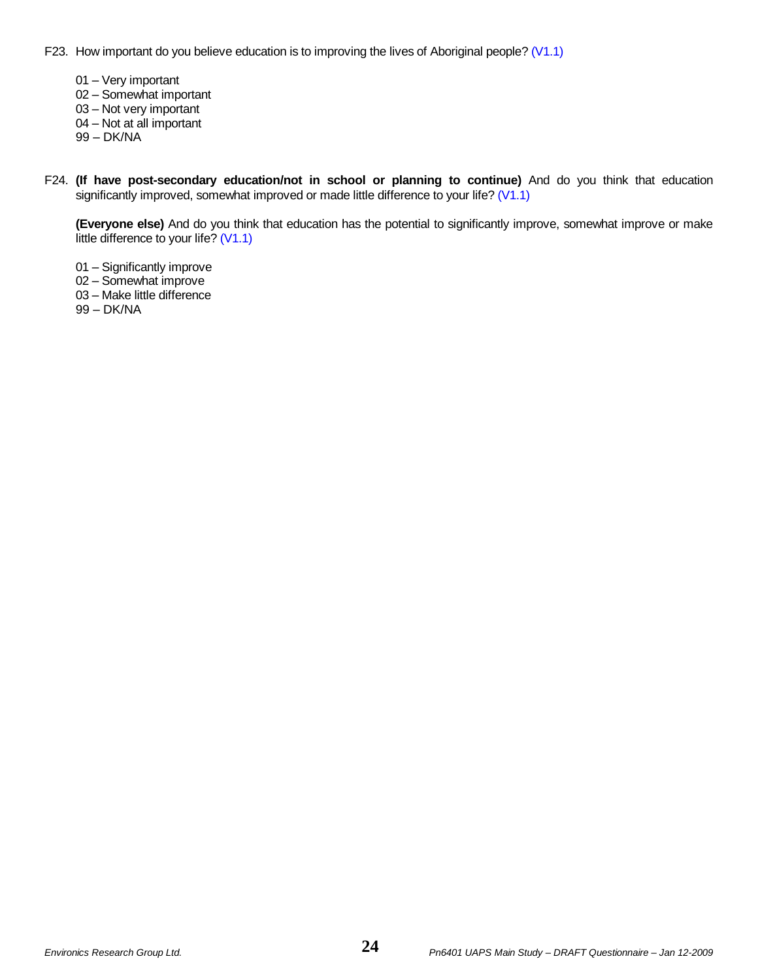F23. How important do you believe education is to improving the lives of Aboriginal people? (V1.1)

01 – Very important

02 – Somewhat important

03 – Not very important

04 – Not at all important

99 – DK/NA

F24. **(If have post-secondary education/not in school or planning to continue)** And do you think that education significantly improved, somewhat improved or made little difference to your life? (V1.1)

**(Everyone else)** And do you think that education has the potential to significantly improve, somewhat improve or make little difference to your life? (V1.1)

01 – Significantly improve

02 – Somewhat improve

03 – Make little difference

99 – DK/NA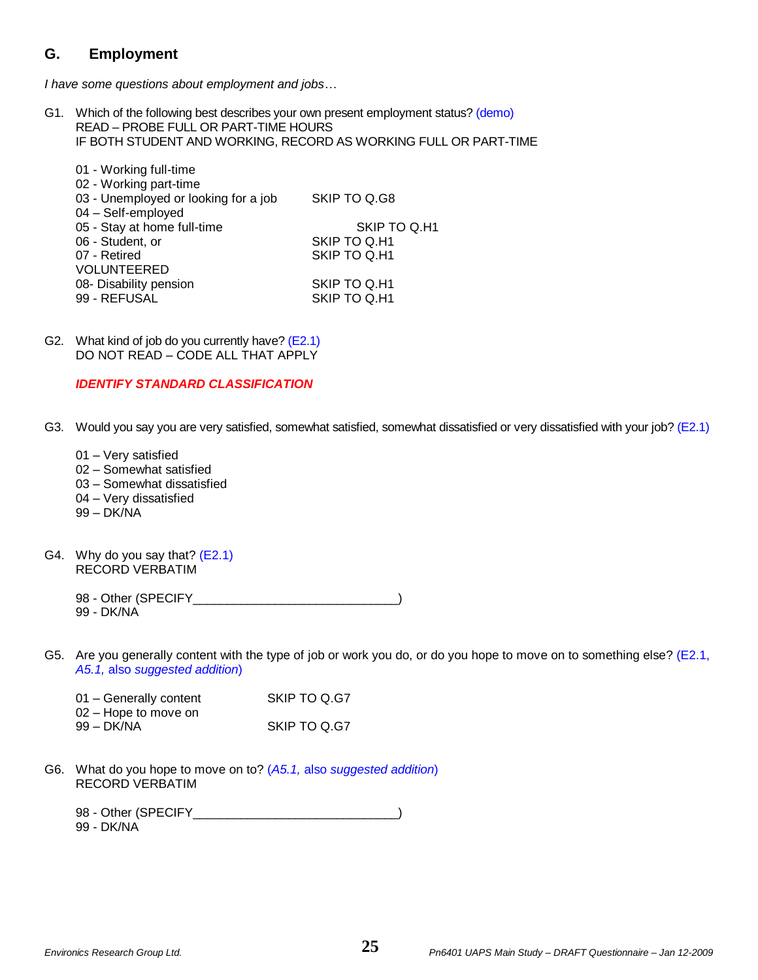# **G. Employment**

*I have some questions about employment and jobs…*

G1. Which of the following best describes your own present employment status? (demo) READ – PROBE FULL OR PART-TIME HOURS IF BOTH STUDENT AND WORKING, RECORD AS WORKING FULL OR PART-TIME

| 01 - Working full-time               |              |
|--------------------------------------|--------------|
| 02 - Working part-time               |              |
| 03 - Unemployed or looking for a job | SKIP TO Q.G8 |
| 04 - Self-employed                   |              |
| 05 - Stay at home full-time          | SKIP TO Q.H1 |
| 06 - Student, or                     | SKIP TO Q.H1 |
| 07 - Retired                         | SKIP TO Q.H1 |
| <b>VOLUNTEERED</b>                   |              |
| 08- Disability pension               | SKIP TO Q.H1 |
| 99 - REFUSAL                         | SKIP TO Q.H1 |
|                                      |              |

G2. What kind of job do you currently have? (E2.1) DO NOT READ – CODE ALL THAT APPLY

## *IDENTIFY STANDARD CLASSIFICATION*

- G3. Would you say you are very satisfied, somewhat satisfied, somewhat dissatisfied or very dissatisfied with your job? (E2.1)
	- 01 Very satisfied
	- 02 Somewhat satisfied
	- 03 Somewhat dissatisfied
	- 04 Very dissatisfied
	- 99 DK/NA
- G4. Why do you say that? (E2.1) RECORD VERBATIM

98 - Other (SPECIFY\_\_\_\_\_\_\_\_\_\_\_\_\_\_\_\_\_\_\_\_\_\_\_\_\_\_\_\_\_\_\_\_) 99 - DK/NA

G5. Are you generally content with the type of job or work you do, or do you hope to move on to something else? (E2.1, *A5.1,* also *suggested addition*)

| 01 - Generally content | SKIP TO Q.G7 |
|------------------------|--------------|
| 02 – Hope to move on   |              |
| 99 – DK/NA             | SKIP TO Q.G7 |

G6. What do you hope to move on to? (*A5.1,* also *suggested addition*) RECORD VERBATIM

| 98 - Other (SPECIFY |  |  |
|---------------------|--|--|
| 99 - DK/NA          |  |  |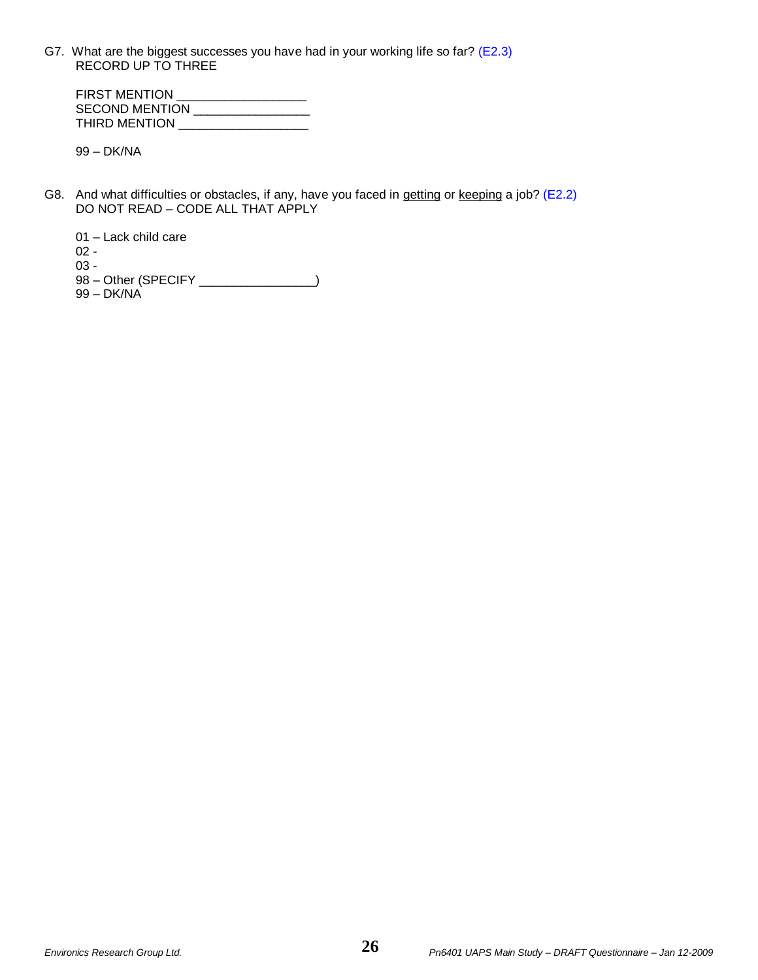G7. What are the biggest successes you have had in your working life so far? (E2.3) RECORD UP TO THREE

| <b>FIRST MENTION</b>  |  |
|-----------------------|--|
| <b>SECOND MENTION</b> |  |
| THIRD MENTION         |  |

99 – DK/NA

G8. And what difficulties or obstacles, if any, have you faced in getting or keeping a job? (E2.2) DO NOT READ – CODE ALL THAT APPLY

01 – Lack child care 02 - 03 - 98 – Other (SPECIFY \_\_\_\_\_\_\_\_\_\_\_\_\_\_\_\_\_) 99 – DK/NA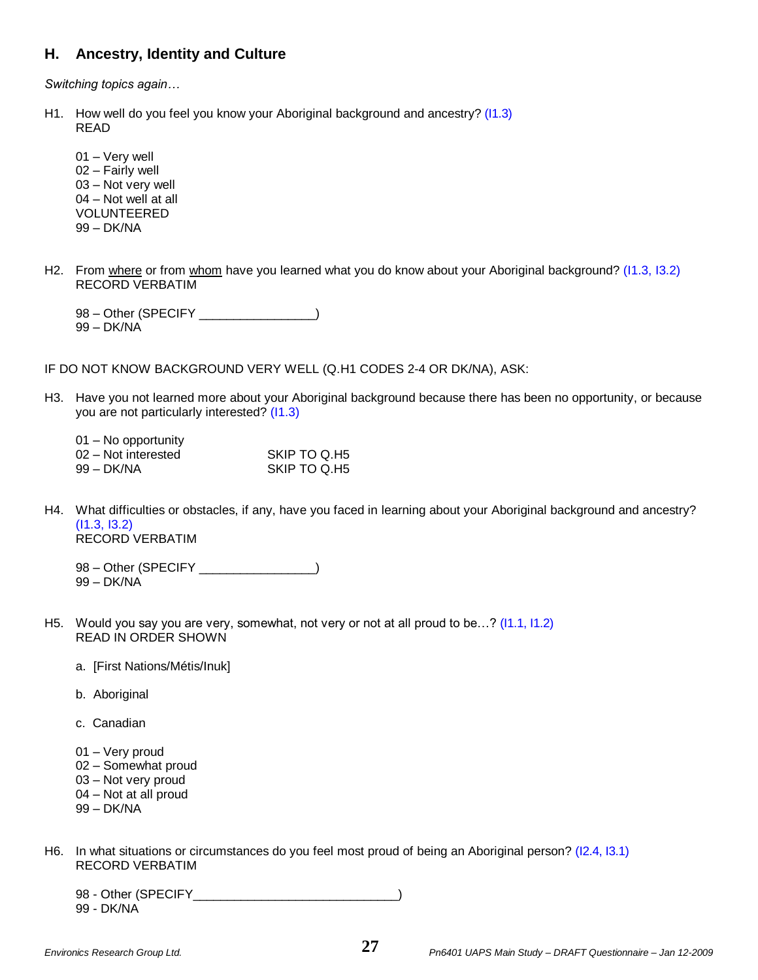# **H. Ancestry, Identity and Culture**

*Switching topics again…*

H1. How well do you feel you know your Aboriginal background and ancestry? (I1.3) READ

01 – Very well 02 – Fairly well 03 – Not very well 04 – Not well at all VOLUNTEERED 99 – DK/NA

H2. From where or from whom have you learned what you do know about your Aboriginal background? (11.3, 13.2) RECORD VERBATIM

98 – Other (SPECIFY \_\_\_\_\_\_\_\_\_\_\_\_\_\_\_\_) 99 – DK/NA

IF DO NOT KNOW BACKGROUND VERY WELL (Q.H1 CODES 2-4 OR DK/NA), ASK:

H3. Have you not learned more about your Aboriginal background because there has been no opportunity, or because you are not particularly interested? (I1.3)

| 01 – No opportunity |              |
|---------------------|--------------|
| 02 – Not interested | SKIP TO Q.H5 |
| 99 – DK/NA          | SKIP TO Q.H5 |

H4. What difficulties or obstacles, if any, have you faced in learning about your Aboriginal background and ancestry? (I1.3, I3.2) RECORD VERBATIM

98 – Other (SPECIFY \_\_\_\_\_\_\_\_\_\_\_\_\_\_\_) 99 – DK/NA

- H5. Would you say you are very, somewhat, not very or not at all proud to be…? (I1.1, I1.2) READ IN ORDER SHOWN
	- a. [First Nations/Métis/Inuk]
	- b. Aboriginal
	- c. Canadian
	- 01 Very proud
	- 02 Somewhat proud
	- 03 Not very proud
	- 04 Not at all proud
	- 99 DK/NA
- H6. In what situations or circumstances do you feel most proud of being an Aboriginal person? (I2.4, I3.1) RECORD VERBATIM

98 - Other (SPECIFY ) 99 - DK/NA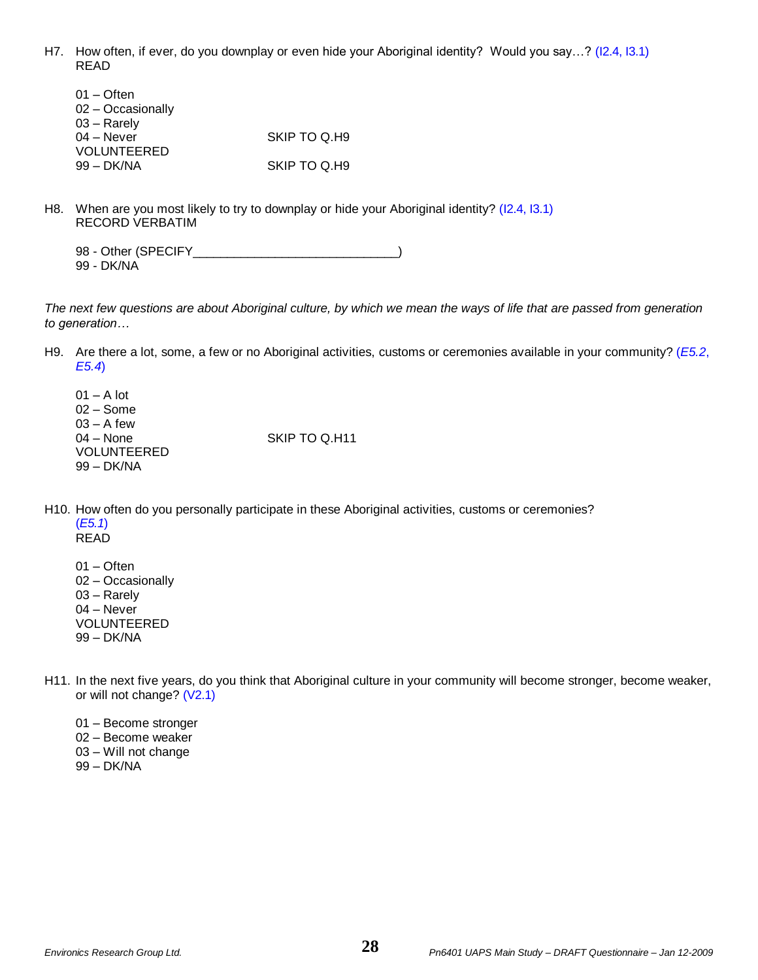H7. How often, if ever, do you downplay or even hide your Aboriginal identity? Would you say…? (I2.4, I3.1) READ

| $01 -$ Often       |              |
|--------------------|--------------|
| 02 - Occasionally  |              |
| $03 -$ Rarely      |              |
| $04 -$ Never       | SKIP TO Q.H9 |
| <b>VOLUNTEERED</b> |              |
| 99 – DK/NA         | SKIP TO Q.H9 |

H8. When are you most likely to try to downplay or hide your Aboriginal identity? (I2.4, I3.1) RECORD VERBATIM

98 - Other (SPECIFY\_\_\_\_\_\_\_\_\_\_\_\_\_\_\_\_\_\_\_\_\_\_\_\_\_\_\_\_\_\_) 99 - DK/NA

*The next few questions are about Aboriginal culture, by which we mean the ways of life that are passed from generation to generation…*

- H9. Are there a lot, some, a few or no Aboriginal activities, customs or ceremonies available in your community? (*E5.2*, *E5.4*)
	- $01 A$  lot 02 – Some  $03 - A$  few 04 – None SKIP TO Q.H11 VOLUNTEERED 99 – DK/NA

H10. How often do you personally participate in these Aboriginal activities, customs or ceremonies?

- (*E5.1*) READ
- 01 Often 02 – Occasionally 03 – Rarely 04 – Never VOLUNTEERED 99 – DK/NA
- H11. In the next five years, do you think that Aboriginal culture in your community will become stronger, become weaker, or will not change? (V2.1)
	- 01 Become stronger
	- 02 Become weaker
	- 03 Will not change
	- 99 DK/NA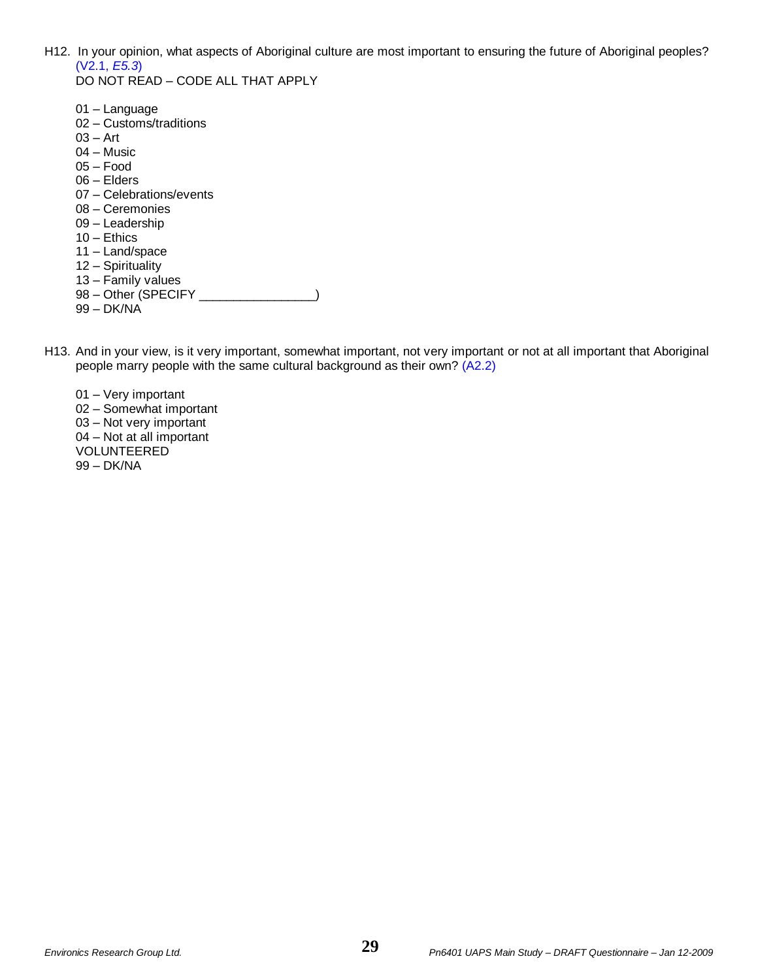H12. In your opinion, what aspects of Aboriginal culture are most important to ensuring the future of Aboriginal peoples? (V2.1, *E5.3*) DO NOT READ – CODE ALL THAT APPLY

| 01 – Language<br>02 - Customs/traditions<br>$03 - Art$<br>04 – Music<br>$05 - Food$<br>$06 -$ Elders<br>07 - Celebrations/events<br>08 – Ceremonies<br>09 - Leadership<br>$10 -$ Ethics<br>11 - Land/space |
|------------------------------------------------------------------------------------------------------------------------------------------------------------------------------------------------------------|
| 12 - Spirituality<br>13 - Family values                                                                                                                                                                    |
| 98 - Other (SPECIFY<br>99 – DK/NA                                                                                                                                                                          |

- H13. And in your view, is it very important, somewhat important, not very important or not at all important that Aboriginal people marry people with the same cultural background as their own? (A2.2)
	- 01 Very important 02 – Somewhat important 03 – Not very important 04 – Not at all important VOLUNTEERED 99 – DK/NA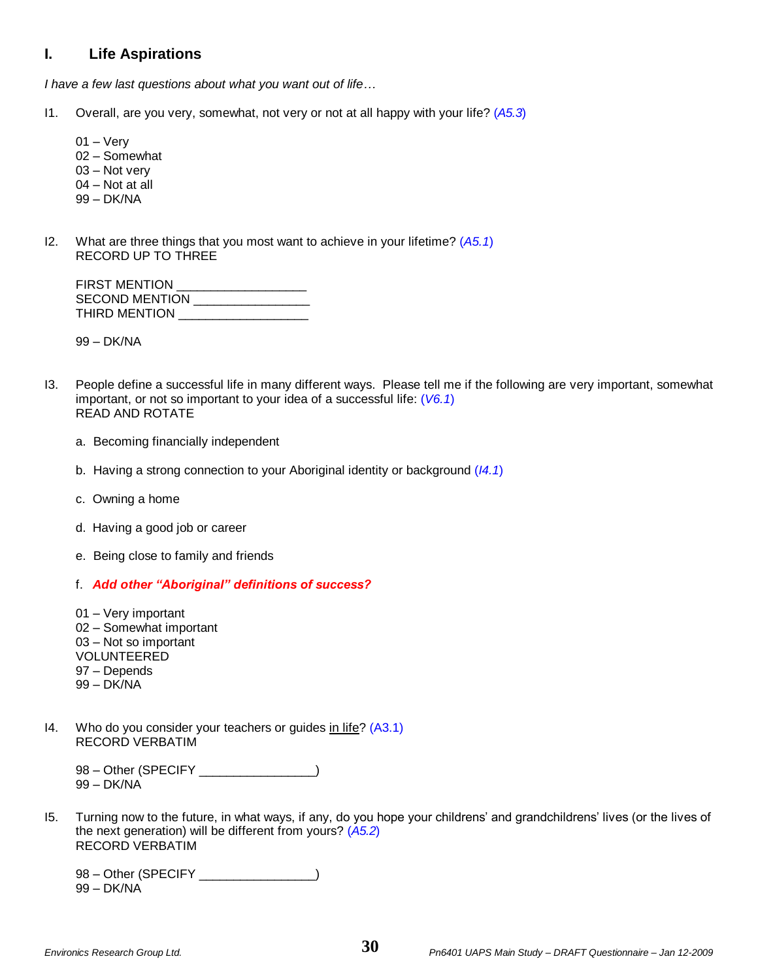# **I. Life Aspirations**

*I have a few last questions about what you want out of life…*

- I1. Overall, are you very, somewhat, not very or not at all happy with your life? (*A5.3*)
	- $01 \text{Very}$ 02 – Somewhat 03 – Not very 04 – Not at all 99 – DK/NA
- I2. What are three things that you most want to achieve in your lifetime? (*A5.1*) RECORD UP TO THREE

| <b>FIRST MENTION</b>  |  |
|-----------------------|--|
| <b>SECOND MENTION</b> |  |
| THIRD MENTION         |  |

99 – DK/NA

- I3. People define a successful life in many different ways. Please tell me if the following are very important, somewhat important, or not so important to your idea of a successful life: (*V6.1*) READ AND ROTATE
	- a. Becoming financially independent
	- b. Having a strong connection to your Aboriginal identity or background (*I4.1*)
	- c. Owning a home
	- d. Having a good job or career
	- e. Being close to family and friends
	- f. *Add other "Aboriginal" definitions of success?*
	- 01 Very important 02 – Somewhat important 03 – Not so important VOLUNTEERED 97 – Depends 99 – DK/NA
- I4. Who do you consider your teachers or guides in life? (A3.1) RECORD VERBATIM

98 - Other (SPECIFY \_\_\_\_\_\_\_\_\_\_\_\_\_\_\_\_) 99 – DK/NA

I5. Turning now to the future, in what ways, if any, do you hope your childrens' and grandchildrens' lives (or the lives of the next generation) will be different from yours? (*A5.2*) RECORD VERBATIM

98 – Other (SPECIFY \_\_\_\_\_\_\_\_\_\_\_\_\_\_\_) 99 – DK/NA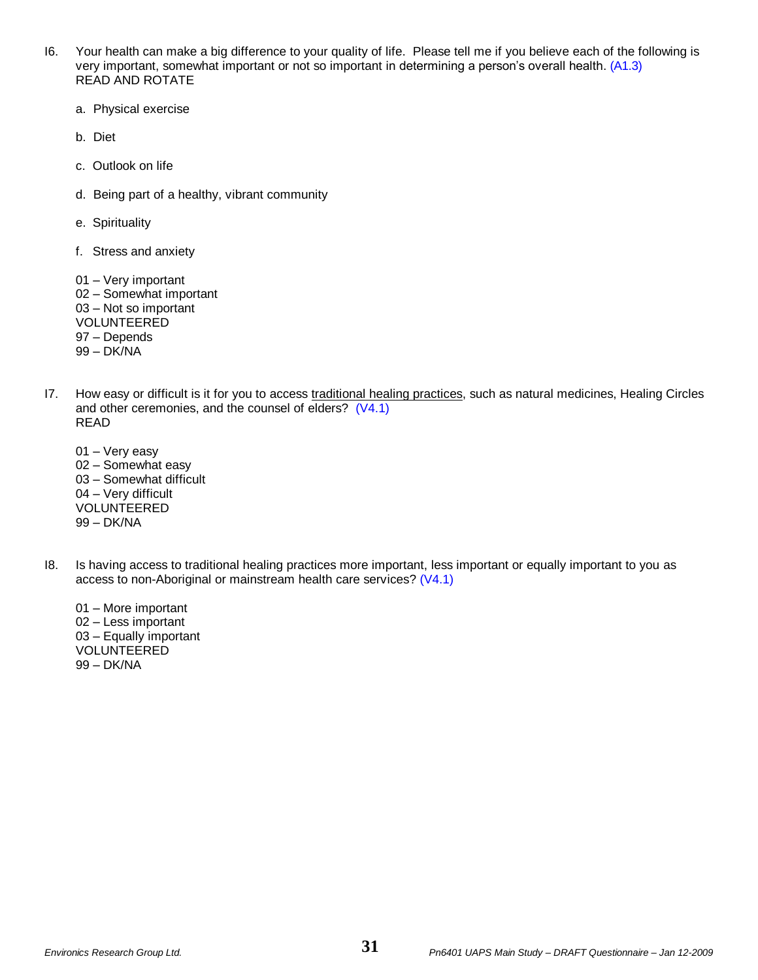- I6. Your health can make a big difference to your quality of life. Please tell me if you believe each of the following is very important, somewhat important or not so important in determining a person's overall health. (A1.3) READ AND ROTATE
	- a. Physical exercise
	- b. Diet
	- c. Outlook on life
	- d. Being part of a healthy, vibrant community
	- e. Spirituality
	- f. Stress and anxiety
	- 01 Very important 02 – Somewhat important 03 – Not so important VOLUNTEERED 97 – Depends 99 – DK/NA
- I7. How easy or difficult is it for you to access traditional healing practices, such as natural medicines, Healing Circles and other ceremonies, and the counsel of elders? (V4.1) READ
	- 01 Very easy 02 – Somewhat easy 03 – Somewhat difficult 04 – Very difficult VOLUNTEERED 99 – DK/NA
- I8. Is having access to traditional healing practices more important, less important or equally important to you as access to non-Aboriginal or mainstream health care services? (V4.1)
	- 01 More important 02 – Less important 03 – Equally important VOLUNTEERED 99 – DK/NA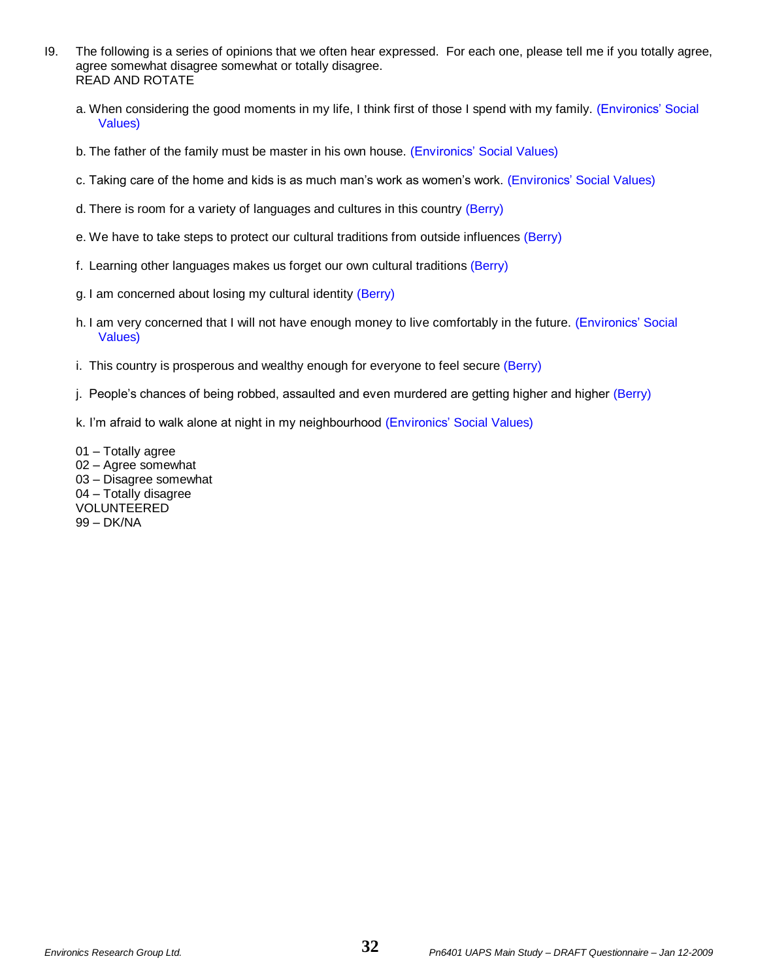- I9. The following is a series of opinions that we often hear expressed. For each one, please tell me if you totally agree, agree somewhat disagree somewhat or totally disagree. READ AND ROTATE
	- a. When considering the good moments in my life, I think first of those I spend with my family. (Environics' Social Values)
	- b. The father of the family must be master in his own house. (Environics' Social Values)
	- c. Taking care of the home and kids is as much man's work as women's work. (Environics' Social Values)
	- d. There is room for a variety of languages and cultures in this country (Berry)
	- e. We have to take steps to protect our cultural traditions from outside influences (Berry)
	- f. Learning other languages makes us forget our own cultural traditions (Berry)
	- g. I am concerned about losing my cultural identity (Berry)
	- h. I am very concerned that I will not have enough money to live comfortably in the future. (Environics' Social Values)
	- i. This country is prosperous and wealthy enough for everyone to feel secure (Berry)
	- j. People's chances of being robbed, assaulted and even murdered are getting higher and higher (Berry)
	- k. I'm afraid to walk alone at night in my neighbourhood (Environics' Social Values)

01 – Totally agree 02 – Agree somewhat 03 – Disagree somewhat 04 – Totally disagree VOLUNTEERED 99 – DK/NA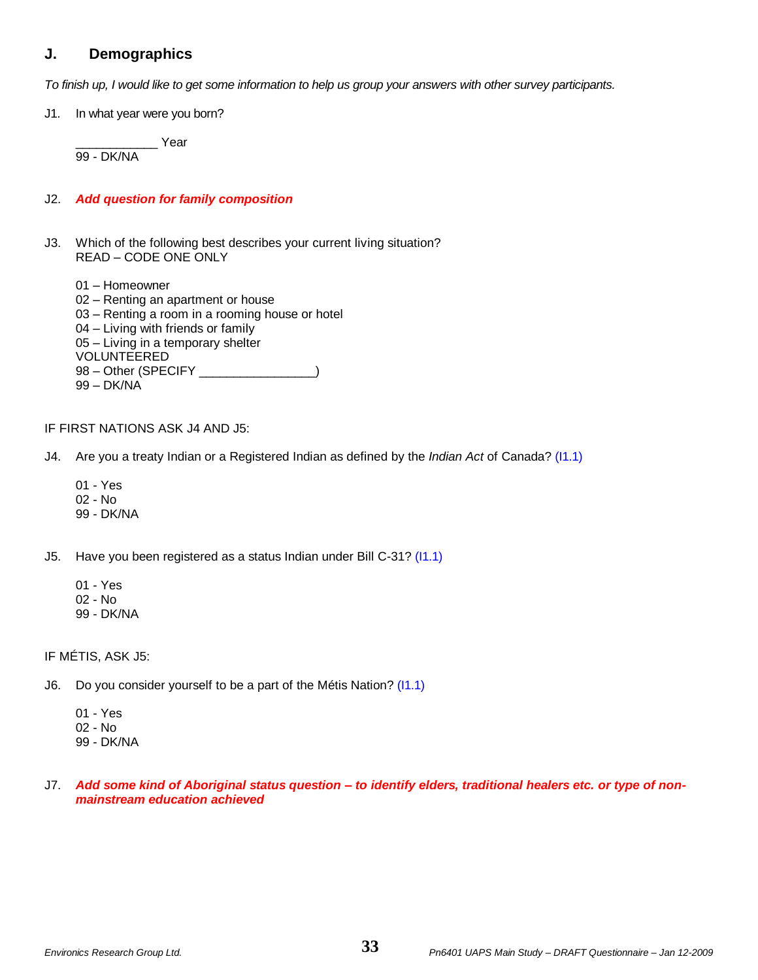# **J. Demographics**

*To finish up, I would like to get some information to help us group your answers with other survey participants.*

J1. In what year were you born?

\_\_\_\_\_\_\_\_\_\_\_\_ Year 99 - DK/NA

### J2. *Add question for family composition*

J3. Which of the following best describes your current living situation? READ – CODE ONE ONLY

01 – Homeowner

- 02 Renting an apartment or house
- 03 Renting a room in a rooming house or hotel
- 04 Living with friends or family
- 05 Living in a temporary shelter

VOLUNTEERED

- 98 Other (SPECIFY \_\_\_\_\_\_\_\_\_\_\_\_\_\_\_\_)
- 99 DK/NA

### IF FIRST NATIONS ASK J4 AND J5:

J4. Are you a treaty Indian or a Registered Indian as defined by the *Indian Act* of Canada? (I1.1)

- 01 Yes
- 02 No
- 99 DK/NA

J5. Have you been registered as a status Indian under Bill C-31? (I1.1)

- 01 Yes
- 02 No
- 99 DK/NA

IF MÉTIS, ASK J5:

- J6. Do you consider yourself to be a part of the Métis Nation? (11.1)
	- 01 Yes 02 - No 99 - DK/NA
- J7. *Add some kind of Aboriginal status question – to identify elders, traditional healers etc. or type of nonmainstream education achieved*